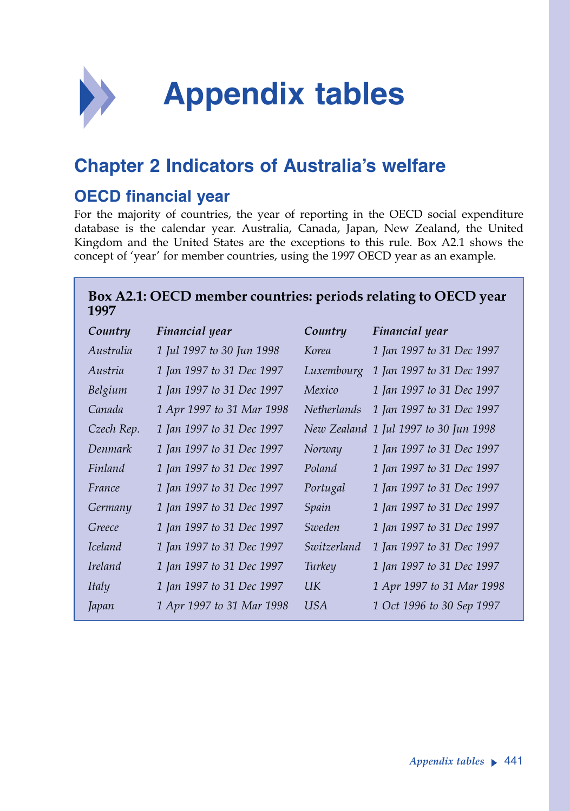

## **Chapter 2 Indicators of Australia's welfare**

## **OECD financial year**

For the majority of countries, the year of reporting in the OECD social expenditure database is the calendar year. Australia, Canada, Japan, New Zealand, the United Kingdom and the United States are the exceptions to this rule. Box A2.1 shows the concept of 'year' for member countries, using the 1997 OECD year as an example.

## **Box A2.1: OECD member countries: periods relating to OECD year 1997**

| Country        | Financial year            | Country            | Financial year            |
|----------------|---------------------------|--------------------|---------------------------|
| Australia      | 1 Jul 1997 to 30 Jun 1998 | Korea              | 1 Jan 1997 to 31 Dec 1997 |
| Austria        | 1 Jan 1997 to 31 Dec 1997 | Luxembourg         | 1 Jan 1997 to 31 Dec 1997 |
| Belgium        | 1 Jan 1997 to 31 Dec 1997 | Mexico             | 1 Jan 1997 to 31 Dec 1997 |
| Canada         | 1 Apr 1997 to 31 Mar 1998 | <b>Netherlands</b> | 1 Jan 1997 to 31 Dec 1997 |
| Czech Rep.     | 1 Jan 1997 to 31 Dec 1997 | New Zealand        | 1 Jul 1997 to 30 Jun 1998 |
| Denmark        | 1 Jan 1997 to 31 Dec 1997 | Norway             | 1 Jan 1997 to 31 Dec 1997 |
| Finland        | 1 Jan 1997 to 31 Dec 1997 | Poland             | 1 Jan 1997 to 31 Dec 1997 |
| France         | 1 Jan 1997 to 31 Dec 1997 | Portugal           | 1 Jan 1997 to 31 Dec 1997 |
| Germany        | 1 Jan 1997 to 31 Dec 1997 | Spain              | 1 Jan 1997 to 31 Dec 1997 |
| Greece         | 1 Jan 1997 to 31 Dec 1997 | Sweden             | 1 Jan 1997 to 31 Dec 1997 |
| <i>Iceland</i> | 1 Jan 1997 to 31 Dec 1997 | Switzerland        | 1 Jan 1997 to 31 Dec 1997 |
| <i>Ireland</i> | 1 Jan 1997 to 31 Dec 1997 | Turkey             | 1 Jan 1997 to 31 Dec 1997 |
| Italy          | 1 Jan 1997 to 31 Dec 1997 | UК                 | 1 Apr 1997 to 31 Mar 1998 |
| Japan          | 1 Apr 1997 to 31 Mar 1998 | <b>USA</b>         | 1 Oct 1996 to 30 Sep 1997 |
|                |                           |                    |                           |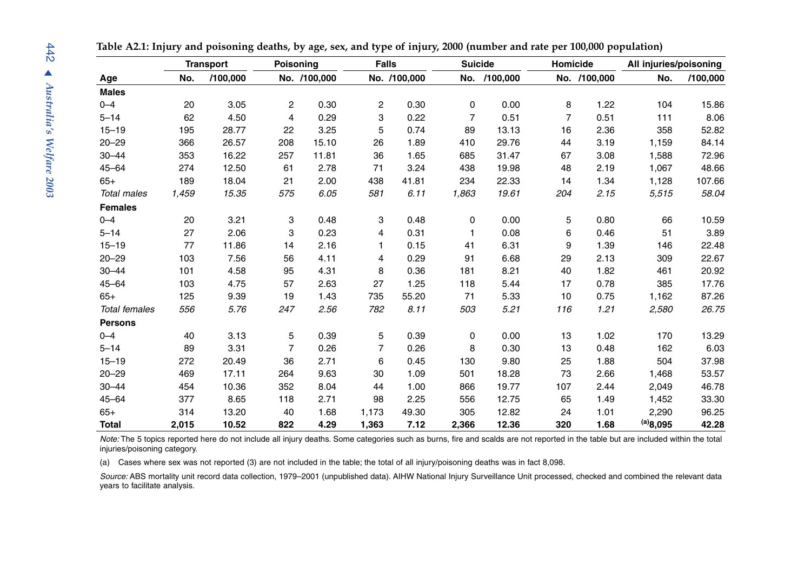|                      |       | <b>Transport</b> |                | Poisoning    | <b>Falls</b>   |              | <b>Suicide</b> |          | Homicide       |              | All injuries/poisoning |          |
|----------------------|-------|------------------|----------------|--------------|----------------|--------------|----------------|----------|----------------|--------------|------------------------|----------|
| Age                  | No.   | /100,000         |                | No. /100,000 |                | No. /100,000 | No.            | /100,000 |                | No. /100,000 | No.                    | /100,000 |
| <b>Males</b>         |       |                  |                |              |                |              |                |          |                |              |                        |          |
| $0 - 4$              | 20    | 3.05             | $\overline{c}$ | 0.30         | 2              | 0.30         | 0              | 0.00     | 8              | 1.22         | 104                    | 15.86    |
| $5 - 14$             | 62    | 4.50             | 4              | 0.29         | 3              | 0.22         | $\overline{7}$ | 0.51     | $\overline{7}$ | 0.51         | 111                    | 8.06     |
| $15 - 19$            | 195   | 28.77            | 22             | 3.25         | 5              | 0.74         | 89             | 13.13    | 16             | 2.36         | 358                    | 52.82    |
| $20 - 29$            | 366   | 26.57            | 208            | 15.10        | 26             | 1.89         | 410            | 29.76    | 44             | 3.19         | 1,159                  | 84.14    |
| $30 - 44$            | 353   | 16.22            | 257            | 11.81        | 36             | 1.65         | 685            | 31.47    | 67             | 3.08         | 1,588                  | 72.96    |
| $45 - 64$            | 274   | 12.50            | 61             | 2.78         | 71             | 3.24         | 438            | 19.98    | 48             | 2.19         | 1,067                  | 48.66    |
| $65+$                | 189   | 18.04            | 21             | 2.00         | 438            | 41.81        | 234            | 22.33    | 14             | 1.34         | 1,128                  | 107.66   |
| <b>Total males</b>   | 1,459 | 15.35            | 575            | 6.05         | 581            | 6.11         | 1,863          | 19.61    | 204            | 2.15         | 5,515                  | 58.04    |
| <b>Females</b>       |       |                  |                |              |                |              |                |          |                |              |                        |          |
| $0 - 4$              | 20    | 3.21             | 3              | 0.48         | 3              | 0.48         | 0              | 0.00     | 5              | 0.80         | 66                     | 10.59    |
| $5 - 14$             | 27    | 2.06             | 3              | 0.23         | 4              | 0.31         | 1              | 0.08     | 6              | 0.46         | 51                     | 3.89     |
| $15 - 19$            | 77    | 11.86            | 14             | 2.16         | $\mathbf{1}$   | 0.15         | 41             | 6.31     | 9              | 1.39         | 146                    | 22.48    |
| $20 - 29$            | 103   | 7.56             | 56             | 4.11         | 4              | 0.29         | 91             | 6.68     | 29             | 2.13         | 309                    | 22.67    |
| $30 - 44$            | 101   | 4.58             | 95             | 4.31         | 8              | 0.36         | 181            | 8.21     | 40             | 1.82         | 461                    | 20.92    |
| $45 - 64$            | 103   | 4.75             | 57             | 2.63         | 27             | 1.25         | 118            | 5.44     | 17             | 0.78         | 385                    | 17.76    |
| $65+$                | 125   | 9.39             | 19             | 1.43         | 735            | 55.20        | 71             | 5.33     | 10             | 0.75         | 1,162                  | 87.26    |
| <b>Total females</b> | 556   | 5.76             | 247            | 2.56         | 782            | 8.11         | 503            | 5.21     | 116            | 1.21         | 2,580                  | 26.75    |
| <b>Persons</b>       |       |                  |                |              |                |              |                |          |                |              |                        |          |
| $0 - 4$              | 40    | 3.13             | 5              | 0.39         | 5              | 0.39         | 0              | 0.00     | 13             | 1.02         | 170                    | 13.29    |
| $5 - 14$             | 89    | 3.31             | $\overline{7}$ | 0.26         | $\overline{7}$ | 0.26         | 8              | 0.30     | 13             | 0.48         | 162                    | 6.03     |
| $15 - 19$            | 272   | 20.49            | 36             | 2.71         | 6              | 0.45         | 130            | 9.80     | 25             | 1.88         | 504                    | 37.98    |
| $20 - 29$            | 469   | 17.11            | 264            | 9.63         | 30             | 1.09         | 501            | 18.28    | 73             | 2.66         | 1,468                  | 53.57    |
| $30 - 44$            | 454   | 10.36            | 352            | 8.04         | 44             | 1.00         | 866            | 19.77    | 107            | 2.44         | 2,049                  | 46.78    |
| $45 - 64$            | 377   | 8.65             | 118            | 2.71         | 98             | 2.25         | 556            | 12.75    | 65             | 1.49         | 1,452                  | 33.30    |
| $65+$                | 314   | 13.20            | 40             | 1.68         | 1,173          | 49.30        | 305            | 12.82    | 24             | 1.01         | 2,290                  | 96.25    |
| <b>Total</b>         | 2,015 | 10.52            | 822            | 4.29         | 1,363          | 7.12         | 2,366          | 12.36    | 320            | 1.68         | (a)8,095               | 42.28    |

**Table A2.1: Injury and poisoning deaths, by age, sex, and type of injury, 2000 (number and rate per 100,000 population)**

*Note:* The 5 topics reported here do not include all injury deaths. Some categories such as burns, fire and scalds are not reported in the table but are included within the total injuries/poisoning category.

(a) Cases where sex was not reported (3) are not included in the table; the total of all injury/poisoning deaths was in fact 8,098.

*Source:* ABS mortality unit record data collection, 1979–2001 (unpublished data). AIHW National Injury Surveillance Unit processed, checked and combined the relevant data years to facilitate analysis.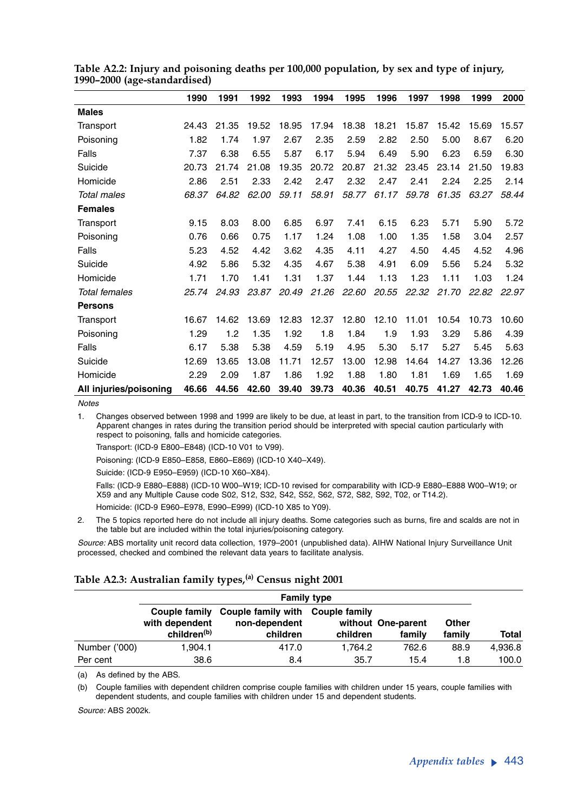|                        | 1990  | 1991  | 1992  | 1993  | 1994  | 1995  | 1996  | 1997  | 1998  | 1999  | 2000  |
|------------------------|-------|-------|-------|-------|-------|-------|-------|-------|-------|-------|-------|
| <b>Males</b>           |       |       |       |       |       |       |       |       |       |       |       |
| Transport              | 24.43 | 21.35 | 19.52 | 18.95 | 17.94 | 18.38 | 18.21 | 15.87 | 15.42 | 15.69 | 15.57 |
| Poisoning              | 1.82  | 1.74  | 1.97  | 2.67  | 2.35  | 2.59  | 2.82  | 2.50  | 5.00  | 8.67  | 6.20  |
| Falls                  | 7.37  | 6.38  | 6.55  | 5.87  | 6.17  | 5.94  | 6.49  | 5.90  | 6.23  | 6.59  | 6.30  |
| Suicide                | 20.73 | 21.74 | 21.08 | 19.35 | 20.72 | 20.87 | 21.32 | 23.45 | 23.14 | 21.50 | 19.83 |
| Homicide               | 2.86  | 2.51  | 2.33  | 2.42  | 2.47  | 2.32  | 2.47  | 2.41  | 2.24  | 2.25  | 2.14  |
| <b>Total males</b>     | 68.37 | 64.82 | 62.00 | 59.11 | 58.91 | 58.77 | 61.17 | 59.78 | 61.35 | 63.27 | 58.44 |
| <b>Females</b>         |       |       |       |       |       |       |       |       |       |       |       |
| Transport              | 9.15  | 8.03  | 8.00  | 6.85  | 6.97  | 7.41  | 6.15  | 6.23  | 5.71  | 5.90  | 5.72  |
| Poisoning              | 0.76  | 0.66  | 0.75  | 1.17  | 1.24  | 1.08  | 1.00  | 1.35  | 1.58  | 3.04  | 2.57  |
| Falls                  | 5.23  | 4.52  | 4.42  | 3.62  | 4.35  | 4.11  | 4.27  | 4.50  | 4.45  | 4.52  | 4.96  |
| Suicide                | 4.92  | 5.86  | 5.32  | 4.35  | 4.67  | 5.38  | 4.91  | 6.09  | 5.56  | 5.24  | 5.32  |
| Homicide               | 1.71  | 1.70  | 1.41  | 1.31  | 1.37  | 1.44  | 1.13  | 1.23  | 1.11  | 1.03  | 1.24  |
| <b>Total females</b>   | 25.74 | 24.93 | 23.87 | 20.49 | 21.26 | 22.60 | 20.55 | 22.32 | 21.70 | 22.82 | 22.97 |
| <b>Persons</b>         |       |       |       |       |       |       |       |       |       |       |       |
| Transport              | 16.67 | 14.62 | 13.69 | 12.83 | 12.37 | 12.80 | 12.10 | 11.01 | 10.54 | 10.73 | 10.60 |
| Poisoning              | 1.29  | 1.2   | 1.35  | 1.92  | 1.8   | 1.84  | 1.9   | 1.93  | 3.29  | 5.86  | 4.39  |
| Falls                  | 6.17  | 5.38  | 5.38  | 4.59  | 5.19  | 4.95  | 5.30  | 5.17  | 5.27  | 5.45  | 5.63  |
| Suicide                | 12.69 | 13.65 | 13.08 | 11.71 | 12.57 | 13.00 | 12.98 | 14.64 | 14.27 | 13.36 | 12.26 |
| Homicide               | 2.29  | 2.09  | 1.87  | 1.86  | 1.92  | 1.88  | 1.80  | 1.81  | 1.69  | 1.65  | 1.69  |
| All injuries/poisoning | 46.66 | 44.56 | 42.60 | 39.40 | 39.73 | 40.36 | 40.51 | 40.75 | 41.27 | 42.73 | 40.46 |

**Table A2.2: Injury and poisoning deaths per 100,000 population, by sex and type of injury, 1990–2000 (age-standardised)**

*Notes*

1. Changes observed between 1998 and 1999 are likely to be due, at least in part, to the transition from ICD-9 to ICD-10. Apparent changes in rates during the transition period should be interpreted with special caution particularly with respect to poisoning, falls and homicide categories.

Transport: (ICD-9 E800–E848) (ICD-10 V01 to V99).

Poisoning: (ICD-9 E850–E858, E860–E869) (ICD-10 X40–X49).

Suicide: (ICD-9 E950–E959) (ICD-10 X60–X84).

Falls: (ICD-9 E880–E888) (ICD-10 W00–W19; ICD-10 revised for comparability with ICD-9 E880–E888 W00–W19; or X59 and any Multiple Cause code S02, S12, S32, S42, S52, S62, S72, S82, S92, T02, or T14.2). Homicide: (ICD-9 E960–E978, E990–E999) (ICD-10 X85 to Y09).

2. The 5 topics reported here do not include all injury deaths. Some categories such as burns, fire and scalds are not in the table but are included within the total injuries/poisoning category.

*Source:* ABS mortality unit record data collection, 1979–2001 (unpublished data). AIHW National Injury Surveillance Unit processed, checked and combined the relevant data years to facilitate analysis.

### **Table A2.3: Australian family types,(a) Census night 2001**

|               | <b>Family type</b>                                         |                                                               |          |                              |                        |              |  |  |  |  |
|---------------|------------------------------------------------------------|---------------------------------------------------------------|----------|------------------------------|------------------------|--------------|--|--|--|--|
|               | Couple family<br>with dependent<br>children <sup>(b)</sup> | Couple family with Couple family<br>non-dependent<br>children | children | without One-parent<br>family | <b>Other</b><br>family | <b>Total</b> |  |  |  |  |
| Number ('000) | 1.904.1                                                    | 417.0                                                         | 1.764.2  | 762.6                        | 88.9                   | 4,936.8      |  |  |  |  |
| Per cent      | 38.6                                                       | 8.4                                                           | 35.7     | 15.4                         | 1.8                    | 100.0        |  |  |  |  |

(a) As defined by the ABS.

(b) Couple families with dependent children comprise couple families with children under 15 years, couple families with dependent students, and couple families with children under 15 and dependent students.

*Source:* ABS 2002k.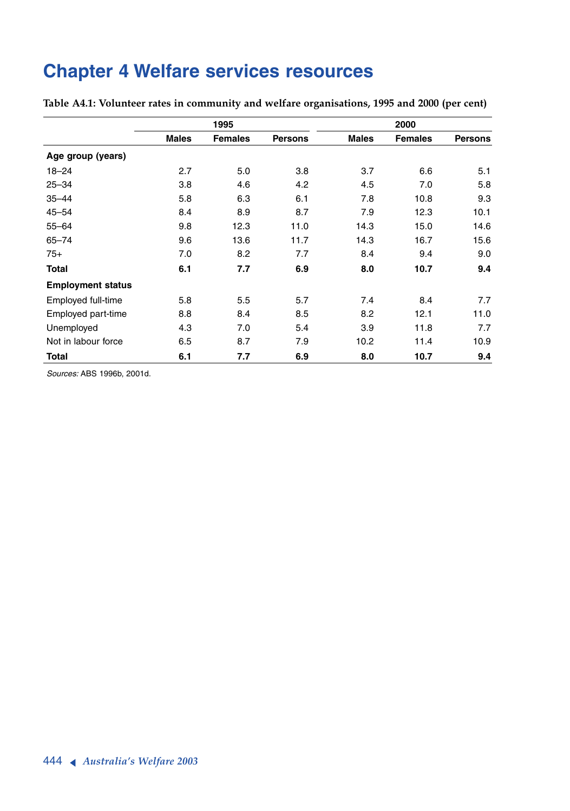# **Chapter 4 Welfare services resources**

|                          |              | 1995           |                | 2000         |                |                |
|--------------------------|--------------|----------------|----------------|--------------|----------------|----------------|
|                          | <b>Males</b> | <b>Females</b> | <b>Persons</b> | <b>Males</b> | <b>Females</b> | <b>Persons</b> |
| Age group (years)        |              |                |                |              |                |                |
| $18 - 24$                | 2.7          | 5.0            | 3.8            | 3.7          | 6.6            | 5.1            |
| $25 - 34$                | 3.8          | 4.6            | 4.2            | 4.5          | 7.0            | 5.8            |
| $35 - 44$                | 5.8          | 6.3            | 6.1            | 7.8          | 10.8           | 9.3            |
| $45 - 54$                | 8.4          | 8.9            | 8.7            | 7.9          | 12.3           | 10.1           |
| $55 - 64$                | 9.8          | 12.3           | 11.0           | 14.3         | 15.0           | 14.6           |
| $65 - 74$                | 9.6          | 13.6           | 11.7           | 14.3         | 16.7           | 15.6           |
| $75+$                    | 7.0          | 8.2            | 7.7            | 8.4          | 9.4            | 9.0            |
| <b>Total</b>             | 6.1          | 7.7            | 6.9            | 8.0          | 10.7           | 9.4            |
| <b>Employment status</b> |              |                |                |              |                |                |
| Employed full-time       | 5.8          | 5.5            | 5.7            | 7.4          | 8.4            | 7.7            |
| Employed part-time       | 8.8          | 8.4            | 8.5            | 8.2          | 12.1           | 11.0           |
| Unemployed               | 4.3          | 7.0            | 5.4            | 3.9          | 11.8           | 7.7            |
| Not in labour force      | 6.5          | 8.7            | 7.9            | 10.2         | 11.4           | 10.9           |
| <b>Total</b>             | 6.1          | 7.7            | 6.9            | 8.0          | 10.7           | 9.4            |

**Table A4.1: Volunteer rates in community and welfare organisations, 1995 and 2000 (per cent)**

*Sources:* ABS 1996b, 2001d.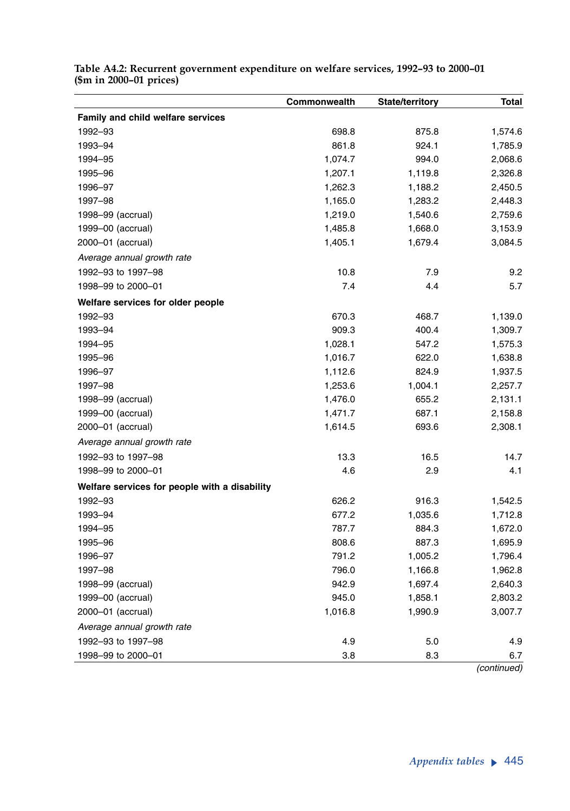| Family and child welfare services<br>1992-93<br>698.8<br>875.8<br>1,574.6<br>861.8<br>924.1<br>1993-94<br>1,785.9<br>1,074.7<br>1994-95<br>994.0<br>2,068.6<br>1995-96<br>1,207.1<br>2,326.8<br>1,119.8<br>1996-97<br>1,262.3<br>1,188.2<br>2,450.5<br>1997-98<br>1,165.0<br>1,283.2<br>2,448.3<br>1998-99 (accrual)<br>1,219.0<br>1,540.6<br>2,759.6<br>1999-00 (accrual)<br>1,485.8<br>1,668.0<br>3,153.9<br>2000-01 (accrual)<br>1,405.1<br>1,679.4<br>3,084.5<br>Average annual growth rate<br>1992-93 to 1997-98<br>10.8<br>7.9<br>9.2<br>7.4<br>4.4<br>5.7<br>1998-99 to 2000-01<br>Welfare services for older people<br>670.3<br>1992-93<br>468.7<br>1,139.0<br>1993-94<br>909.3<br>400.4<br>1,309.7<br>1,028.1<br>547.2<br>1994-95<br>1,575.3<br>1995-96<br>1,016.7<br>622.0<br>1,638.8<br>1996-97<br>1,112.6<br>824.9<br>1,937.5<br>1997-98<br>1,253.6<br>1,004.1<br>2,257.7 |
|---------------------------------------------------------------------------------------------------------------------------------------------------------------------------------------------------------------------------------------------------------------------------------------------------------------------------------------------------------------------------------------------------------------------------------------------------------------------------------------------------------------------------------------------------------------------------------------------------------------------------------------------------------------------------------------------------------------------------------------------------------------------------------------------------------------------------------------------------------------------------------------|
|                                                                                                                                                                                                                                                                                                                                                                                                                                                                                                                                                                                                                                                                                                                                                                                                                                                                                       |
|                                                                                                                                                                                                                                                                                                                                                                                                                                                                                                                                                                                                                                                                                                                                                                                                                                                                                       |
|                                                                                                                                                                                                                                                                                                                                                                                                                                                                                                                                                                                                                                                                                                                                                                                                                                                                                       |
|                                                                                                                                                                                                                                                                                                                                                                                                                                                                                                                                                                                                                                                                                                                                                                                                                                                                                       |
|                                                                                                                                                                                                                                                                                                                                                                                                                                                                                                                                                                                                                                                                                                                                                                                                                                                                                       |
|                                                                                                                                                                                                                                                                                                                                                                                                                                                                                                                                                                                                                                                                                                                                                                                                                                                                                       |
|                                                                                                                                                                                                                                                                                                                                                                                                                                                                                                                                                                                                                                                                                                                                                                                                                                                                                       |
|                                                                                                                                                                                                                                                                                                                                                                                                                                                                                                                                                                                                                                                                                                                                                                                                                                                                                       |
|                                                                                                                                                                                                                                                                                                                                                                                                                                                                                                                                                                                                                                                                                                                                                                                                                                                                                       |
|                                                                                                                                                                                                                                                                                                                                                                                                                                                                                                                                                                                                                                                                                                                                                                                                                                                                                       |
|                                                                                                                                                                                                                                                                                                                                                                                                                                                                                                                                                                                                                                                                                                                                                                                                                                                                                       |
|                                                                                                                                                                                                                                                                                                                                                                                                                                                                                                                                                                                                                                                                                                                                                                                                                                                                                       |
|                                                                                                                                                                                                                                                                                                                                                                                                                                                                                                                                                                                                                                                                                                                                                                                                                                                                                       |
|                                                                                                                                                                                                                                                                                                                                                                                                                                                                                                                                                                                                                                                                                                                                                                                                                                                                                       |
|                                                                                                                                                                                                                                                                                                                                                                                                                                                                                                                                                                                                                                                                                                                                                                                                                                                                                       |
|                                                                                                                                                                                                                                                                                                                                                                                                                                                                                                                                                                                                                                                                                                                                                                                                                                                                                       |
|                                                                                                                                                                                                                                                                                                                                                                                                                                                                                                                                                                                                                                                                                                                                                                                                                                                                                       |
|                                                                                                                                                                                                                                                                                                                                                                                                                                                                                                                                                                                                                                                                                                                                                                                                                                                                                       |
|                                                                                                                                                                                                                                                                                                                                                                                                                                                                                                                                                                                                                                                                                                                                                                                                                                                                                       |
|                                                                                                                                                                                                                                                                                                                                                                                                                                                                                                                                                                                                                                                                                                                                                                                                                                                                                       |
| 1998-99 (accrual)<br>1,476.0<br>655.2<br>2,131.1                                                                                                                                                                                                                                                                                                                                                                                                                                                                                                                                                                                                                                                                                                                                                                                                                                      |
| 1999-00 (accrual)<br>1,471.7<br>687.1<br>2,158.8                                                                                                                                                                                                                                                                                                                                                                                                                                                                                                                                                                                                                                                                                                                                                                                                                                      |
| 2000-01 (accrual)<br>2,308.1<br>1,614.5<br>693.6                                                                                                                                                                                                                                                                                                                                                                                                                                                                                                                                                                                                                                                                                                                                                                                                                                      |
| Average annual growth rate                                                                                                                                                                                                                                                                                                                                                                                                                                                                                                                                                                                                                                                                                                                                                                                                                                                            |
| 1992-93 to 1997-98<br>13.3<br>16.5<br>14.7                                                                                                                                                                                                                                                                                                                                                                                                                                                                                                                                                                                                                                                                                                                                                                                                                                            |
| 2.9<br>1998-99 to 2000-01<br>4.6<br>4.1                                                                                                                                                                                                                                                                                                                                                                                                                                                                                                                                                                                                                                                                                                                                                                                                                                               |
| Welfare services for people with a disability                                                                                                                                                                                                                                                                                                                                                                                                                                                                                                                                                                                                                                                                                                                                                                                                                                         |
| 626.2<br>916.3<br>1992-93<br>1,542.5                                                                                                                                                                                                                                                                                                                                                                                                                                                                                                                                                                                                                                                                                                                                                                                                                                                  |
| 1993-94<br>677.2<br>1,035.6<br>1,712.8                                                                                                                                                                                                                                                                                                                                                                                                                                                                                                                                                                                                                                                                                                                                                                                                                                                |
| 1994-95<br>787.7<br>884.3<br>1,672.0                                                                                                                                                                                                                                                                                                                                                                                                                                                                                                                                                                                                                                                                                                                                                                                                                                                  |
| 1995-96<br>808.6<br>887.3<br>1,695.9                                                                                                                                                                                                                                                                                                                                                                                                                                                                                                                                                                                                                                                                                                                                                                                                                                                  |
| 791.2<br>1,005.2<br>1,796.4<br>1996-97                                                                                                                                                                                                                                                                                                                                                                                                                                                                                                                                                                                                                                                                                                                                                                                                                                                |
| 1997-98<br>796.0<br>1,166.8<br>1,962.8                                                                                                                                                                                                                                                                                                                                                                                                                                                                                                                                                                                                                                                                                                                                                                                                                                                |
| 942.9<br>1998-99 (accrual)<br>1,697.4<br>2,640.3                                                                                                                                                                                                                                                                                                                                                                                                                                                                                                                                                                                                                                                                                                                                                                                                                                      |
| 1999-00 (accrual)<br>945.0<br>1,858.1<br>2,803.2                                                                                                                                                                                                                                                                                                                                                                                                                                                                                                                                                                                                                                                                                                                                                                                                                                      |
| 2000-01 (accrual)<br>1,016.8<br>1,990.9<br>3,007.7                                                                                                                                                                                                                                                                                                                                                                                                                                                                                                                                                                                                                                                                                                                                                                                                                                    |
| Average annual growth rate                                                                                                                                                                                                                                                                                                                                                                                                                                                                                                                                                                                                                                                                                                                                                                                                                                                            |
| 1992-93 to 1997-98<br>4.9<br>5.0<br>4.9                                                                                                                                                                                                                                                                                                                                                                                                                                                                                                                                                                                                                                                                                                                                                                                                                                               |
| 8.3<br>6.7<br>1998-99 to 2000-01<br>3.8                                                                                                                                                                                                                                                                                                                                                                                                                                                                                                                                                                                                                                                                                                                                                                                                                                               |

**Table A4.2: Recurrent government expenditure on welfare services, 1992–93 to 2000–01 (\$m in 2000–01 prices)**

*(continued)*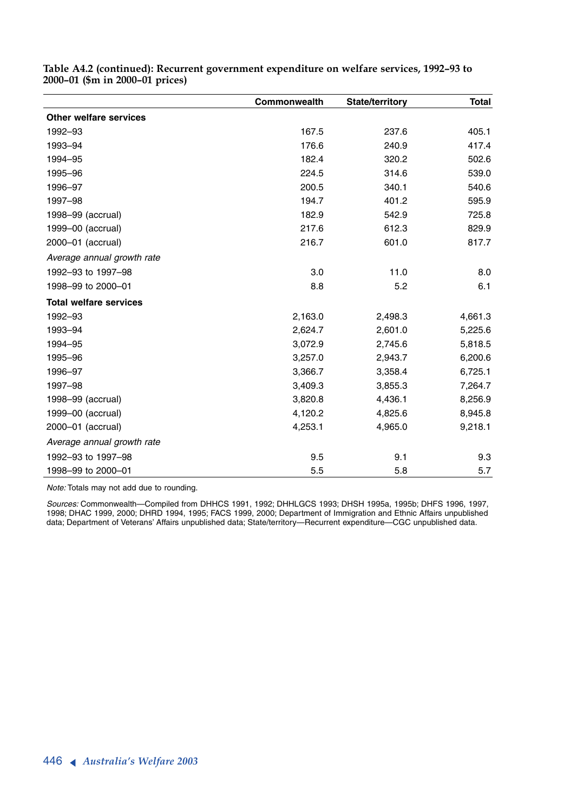|                               | Commonwealth | State/territory | <b>Total</b> |
|-------------------------------|--------------|-----------------|--------------|
| Other welfare services        |              |                 |              |
| 1992-93                       | 167.5        | 237.6           | 405.1        |
| 1993-94                       | 176.6        | 240.9           | 417.4        |
| 1994-95                       | 182.4        | 320.2           | 502.6        |
| 1995-96                       | 224.5        | 314.6           | 539.0        |
| 1996-97                       | 200.5        | 340.1           | 540.6        |
| 1997-98                       | 194.7        | 401.2           | 595.9        |
| 1998-99 (accrual)             | 182.9        | 542.9           | 725.8        |
| 1999-00 (accrual)             | 217.6        | 612.3           | 829.9        |
| 2000-01 (accrual)             | 216.7        | 601.0           | 817.7        |
| Average annual growth rate    |              |                 |              |
| 1992-93 to 1997-98            | 3.0          | 11.0            | 8.0          |
| 1998-99 to 2000-01            | 8.8          | 5.2             | 6.1          |
| <b>Total welfare services</b> |              |                 |              |
| 1992-93                       | 2,163.0      | 2,498.3         | 4,661.3      |
| 1993-94                       | 2,624.7      | 2,601.0         | 5,225.6      |
| 1994-95                       | 3,072.9      | 2,745.6         | 5,818.5      |
| 1995-96                       | 3,257.0      | 2,943.7         | 6,200.6      |
| 1996-97                       | 3,366.7      | 3,358.4         | 6,725.1      |
| 1997-98                       | 3,409.3      | 3,855.3         | 7,264.7      |
| 1998-99 (accrual)             | 3,820.8      | 4,436.1         | 8,256.9      |
| 1999-00 (accrual)             | 4,120.2      | 4,825.6         | 8,945.8      |
| 2000-01 (accrual)             | 4,253.1      | 4,965.0         | 9,218.1      |
| Average annual growth rate    |              |                 |              |
| 1992-93 to 1997-98            | 9.5          | 9.1             | 9.3          |
| 1998-99 to 2000-01            | 5.5          | 5.8             | 5.7          |

**Table A4.2 (continued): Recurrent government expenditure on welfare services, 1992–93 to 2000–01 (\$m in 2000–01 prices)**

*Note:* Totals may not add due to rounding.

*Sources:* Commonwealth—Compiled from DHHCS 1991, 1992; DHHLGCS 1993; DHSH 1995a, 1995b; DHFS 1996, 1997, 1998; DHAC 1999, 2000; DHRD 1994, 1995; FACS 1999, 2000; Department of Immigration and Ethnic Affairs unpublished data; Department of Veterans' Affairs unpublished data; State/territory—Recurrent expenditure—CGC unpublished data.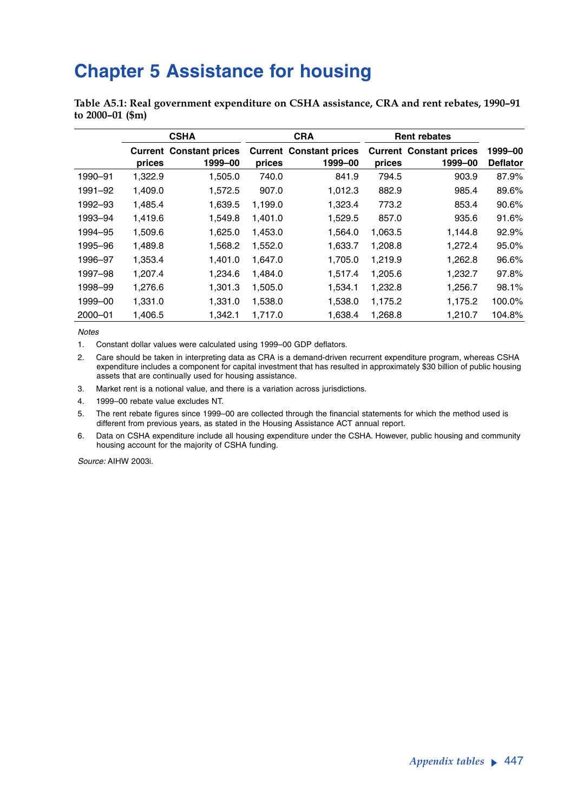## **Chapter 5 Assistance for housing**

**Table A5.1: Real government expenditure on CSHA assistance, CRA and rent rebates, 1990–91 to 2000–01 (\$m)**

|         |         | <b>CSHA</b>                               |         | <b>CRA</b>                                | <b>Rent rebates</b> |                                           |                            |
|---------|---------|-------------------------------------------|---------|-------------------------------------------|---------------------|-------------------------------------------|----------------------------|
|         | prices  | <b>Current Constant prices</b><br>1999-00 | prices  | <b>Current Constant prices</b><br>1999-00 | prices              | <b>Current Constant prices</b><br>1999-00 | 1999-00<br><b>Deflator</b> |
| 1990-91 | 1,322.9 | 1,505.0                                   | 740.0   | 841.9                                     | 794.5               | 903.9                                     | 87.9%                      |
| 1991-92 | 1,409.0 | 1,572.5                                   | 907.0   | 1,012.3                                   | 882.9               | 985.4                                     | 89.6%                      |
| 1992-93 | 1,485.4 | 1,639.5                                   | 1,199.0 | 1,323.4                                   | 773.2               | 853.4                                     | 90.6%                      |
| 1993-94 | 1.419.6 | 1.549.8                                   | 1.401.0 | 1,529.5                                   | 857.0               | 935.6                                     | 91.6%                      |
| 1994-95 | 1.509.6 | 1.625.0                                   | 1.453.0 | 1.564.0                                   | 1.063.5             | 1,144.8                                   | 92.9%                      |
| 1995-96 | 1,489.8 | 1.568.2                                   | 1,552.0 | 1,633.7                                   | 1.208.8             | 1,272.4                                   | 95.0%                      |
| 1996-97 | 1,353.4 | 1,401.0                                   | 1,647.0 | 1,705.0                                   | 1,219.9             | 1,262.8                                   | 96.6%                      |
| 1997-98 | 1,207.4 | 1,234.6                                   | 1,484.0 | 1,517.4                                   | 1,205.6             | 1,232.7                                   | 97.8%                      |
| 1998-99 | 1,276.6 | 1,301.3                                   | 1,505.0 | 1,534.1                                   | 1,232.8             | 1,256.7                                   | 98.1%                      |
| 1999-00 | 1.331.0 | 1.331.0                                   | 1,538.0 | 1,538.0                                   | 1,175.2             | 1,175.2                                   | 100.0%                     |
| 2000-01 | 1,406.5 | 1,342.1                                   | 1,717.0 | 1,638.4                                   | 1,268.8             | 1,210.7                                   | 104.8%                     |

*Notes*

1. Constant dollar values were calculated using 1999–00 GDP deflators.

2. Care should be taken in interpreting data as CRA is a demand-driven recurrent expenditure program, whereas CSHA expenditure includes a component for capital investment that has resulted in approximately \$30 billion of public housing assets that are continually used for housing assistance.

- 3. Market rent is a notional value, and there is a variation across jurisdictions.
- 4. 1999–00 rebate value excludes NT.

5. The rent rebate figures since 1999–00 are collected through the financial statements for which the method used is different from previous years, as stated in the Housing Assistance ACT annual report.

6. Data on CSHA expenditure include all housing expenditure under the CSHA. However, public housing and community housing account for the majority of CSHA funding.

*Source:* AIHW 2003i.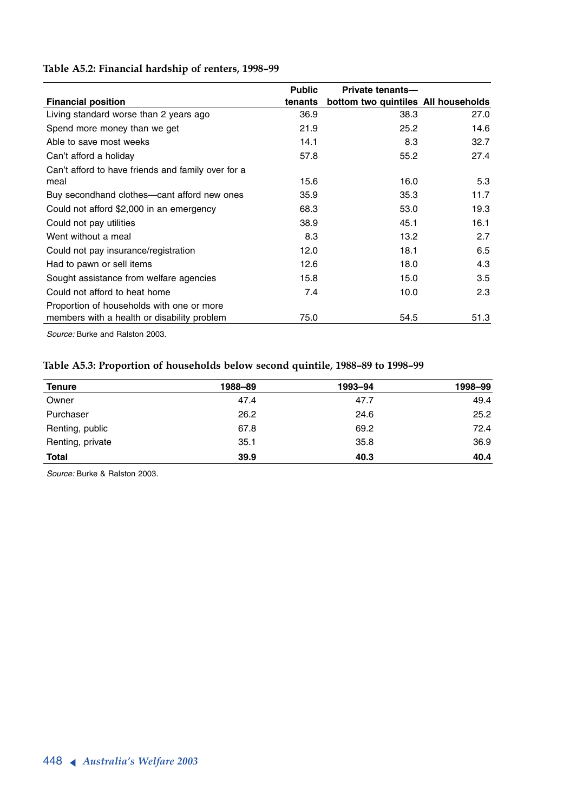### **Table A5.2: Financial hardship of renters, 1998–99**

|                                                    | <b>Public</b> | Private tenants-                    |      |
|----------------------------------------------------|---------------|-------------------------------------|------|
| <b>Financial position</b>                          | tenants       | bottom two quintiles All households |      |
| Living standard worse than 2 years ago             | 36.9          | 38.3                                | 27.0 |
| Spend more money than we get                       | 21.9          | 25.2                                | 14.6 |
| Able to save most weeks                            | 14.1          | 8.3                                 | 32.7 |
| Can't afford a holiday                             | 57.8          | 55.2                                | 27.4 |
| Can't afford to have friends and family over for a |               |                                     |      |
| meal                                               | 15.6          | 16.0                                | 5.3  |
| Buy secondhand clothes—cant afford new ones        | 35.9          | 35.3                                | 11.7 |
| Could not afford \$2,000 in an emergency           | 68.3          | 53.0                                | 19.3 |
| Could not pay utilities                            | 38.9          | 45.1                                | 16.1 |
| Went without a meal                                | 8.3           | 13.2                                | 2.7  |
| Could not pay insurance/registration               | 12.0          | 18.1                                | 6.5  |
| Had to pawn or sell items                          | 12.6          | 18.0                                | 4.3  |
| Sought assistance from welfare agencies            | 15.8          | 15.0                                | 3.5  |
| Could not afford to heat home                      | 7.4           | 10.0                                | 2.3  |
| Proportion of households with one or more          |               |                                     |      |
| members with a health or disability problem        | 75.0          | 54.5                                | 51.3 |

*Source:* Burke and Ralston 2003.

### **Table A5.3: Proportion of households below second quintile, 1988–89 to 1998–99**

| <b>Tenure</b>    | 1988–89 | 1993-94 | 1998-99 |
|------------------|---------|---------|---------|
| Owner            | 47.4    | 47.7    | 49.4    |
| Purchaser        | 26.2    | 24.6    | 25.2    |
| Renting, public  | 67.8    | 69.2    | 72.4    |
| Renting, private | 35.1    | 35.8    | 36.9    |
| <b>Total</b>     | 39.9    | 40.3    | 40.4    |

*Source:* Burke & Ralston 2003.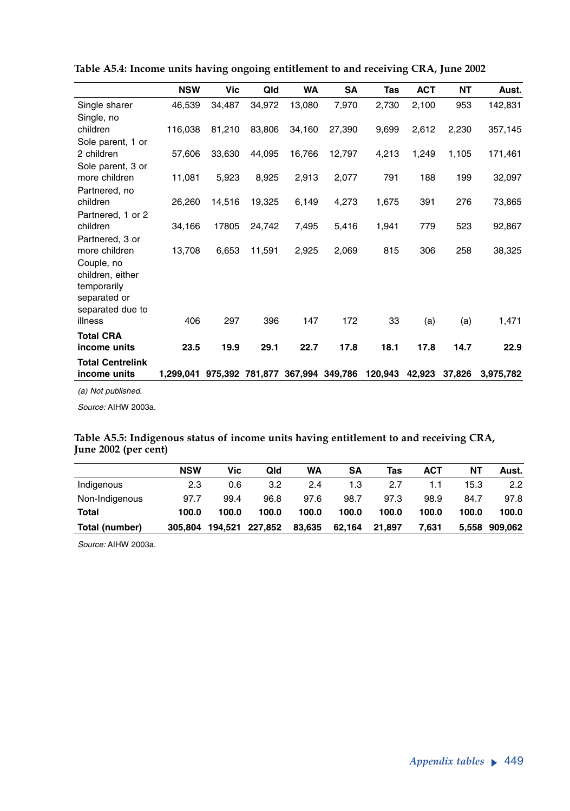|                                                           | <b>NSW</b> | Vic    | Qld             | <b>WA</b> | SA      | Tas     | <b>ACT</b> | <b>NT</b> | Aust.     |
|-----------------------------------------------------------|------------|--------|-----------------|-----------|---------|---------|------------|-----------|-----------|
| Single sharer                                             | 46,539     | 34,487 | 34,972          | 13,080    | 7,970   | 2,730   | 2,100      | 953       | 142,831   |
| Single, no                                                |            |        |                 |           |         |         |            |           |           |
| children                                                  | 116,038    | 81,210 | 83,806          | 34,160    | 27,390  | 9,699   | 2,612      | 2,230     | 357,145   |
| Sole parent, 1 or                                         |            |        |                 |           |         |         |            |           |           |
| 2 children                                                | 57,606     | 33,630 | 44,095          | 16,766    | 12,797  | 4,213   | 1,249      | 1,105     | 171,461   |
| Sole parent, 3 or                                         |            |        |                 |           |         |         |            |           |           |
| more children                                             | 11,081     | 5,923  | 8,925           | 2,913     | 2,077   | 791     | 188        | 199       | 32,097    |
| Partnered, no                                             |            |        |                 |           |         |         |            |           |           |
| children                                                  | 26,260     | 14,516 | 19,325          | 6,149     | 4,273   | 1,675   | 391        | 276       | 73,865    |
| Partnered, 1 or 2                                         |            |        |                 |           |         |         |            |           |           |
| children                                                  | 34,166     | 17805  | 24,742          | 7,495     | 5,416   | 1,941   | 779        | 523       | 92,867    |
| Partnered, 3 or                                           |            |        |                 |           |         |         |            |           |           |
| more children                                             | 13,708     | 6,653  | 11,591          | 2,925     | 2,069   | 815     | 306        | 258       | 38,325    |
| Couple, no                                                |            |        |                 |           |         |         |            |           |           |
| children, either                                          |            |        |                 |           |         |         |            |           |           |
| temporarily                                               |            |        |                 |           |         |         |            |           |           |
| separated or                                              |            |        |                 |           |         |         |            |           |           |
| separated due to<br>illness                               | 406        | 297    | 396             | 147       | 172     | 33      | (a)        | (a)       | 1,471     |
|                                                           |            |        |                 |           |         |         |            |           |           |
| <b>Total CRA</b>                                          |            |        |                 |           |         |         |            |           |           |
| income units                                              | 23.5       | 19.9   | 29.1            | 22.7      | 17.8    | 18.1    | 17.8       | 14.7      | 22.9      |
| <b>Total Centrelink</b>                                   |            |        |                 |           |         |         |            |           |           |
| income units                                              | 1.299.041  |        | 975,392 781,877 | 367,994   | 349,786 | 120,943 | 42,923     | 37,826    | 3,975,782 |
| $\lambda$ , and $\lambda$ , and $\lambda$ , and $\lambda$ |            |        |                 |           |         |         |            |           |           |

**Table A5.4: Income units having ongoing entitlement to and receiving CRA, June 2002**

*(a) Not published.*

*Source:* AIHW 2003a.

#### **Table A5.5: Indigenous status of income units having entitlement to and receiving CRA, June 2002 (per cent)**

|                | <b>NSW</b> | Vic   | Qld             | WA     | <b>SA</b> | Tas    | <b>ACT</b> | NΤ    | Aust.         |
|----------------|------------|-------|-----------------|--------|-----------|--------|------------|-------|---------------|
| Indigenous     | 2.3        | 0.6   | 3.2             | 2.4    | 1.3       | 2.7    | 1.1        | 15.3  | 2.2           |
| Non-Indigenous | 97.7       | 99.4  | 96.8            | 97.6   | 98.7      | 97.3   | 98.9       | 84.7  | 97.8          |
| Total          | 100.0      | 100.0 | 100.0           | 100.0  | 100.0     | 100.0  | 100.0      | 100.0 | 100.0         |
| Total (number) | 305.804    |       | 194,521 227,852 | 83.635 | 62,164    | 21.897 | 7.631      |       | 5,558 909,062 |

*Source:* AIHW 2003a.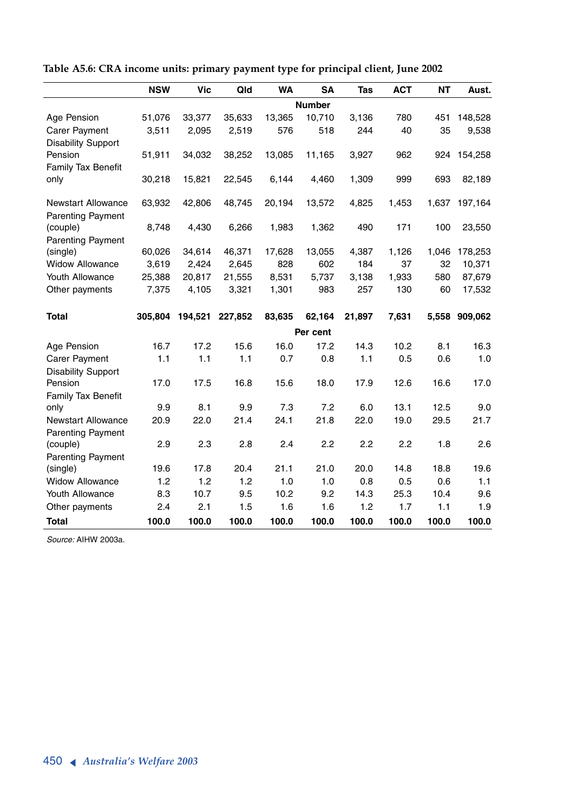|                                | <b>NSW</b>   | <b>Vic</b>   | Qld          | <b>WA</b>    | <b>SA</b>     | Tas          | <b>ACT</b>   | <b>NT</b>    | Aust.         |
|--------------------------------|--------------|--------------|--------------|--------------|---------------|--------------|--------------|--------------|---------------|
|                                |              |              |              |              | <b>Number</b> |              |              |              |               |
| Age Pension                    | 51,076       | 33,377       | 35,633       | 13,365       | 10,710        | 3,136        | 780          | 451          | 148,528       |
| Carer Payment                  | 3,511        | 2,095        | 2,519        | 576          | 518           | 244          | 40           | 35           | 9,538         |
| <b>Disability Support</b>      |              |              |              |              |               |              |              |              |               |
| Pension                        | 51,911       | 34,032       | 38,252       | 13,085       | 11,165        | 3,927        | 962          | 924          | 154,258       |
| Family Tax Benefit             |              |              |              |              |               |              |              |              |               |
| only                           | 30,218       | 15,821       | 22,545       | 6,144        | 4,460         | 1,309        | 999          | 693          | 82,189        |
| <b>Newstart Allowance</b>      | 63,932       | 42,806       | 48,745       | 20,194       | 13,572        | 4,825        | 1,453        | 1,637        | 197,164       |
| <b>Parenting Payment</b>       |              |              |              |              |               |              |              |              |               |
| (couple)                       | 8,748        | 4,430        | 6,266        | 1,983        | 1,362         | 490          | 171          | 100          | 23,550        |
| <b>Parenting Payment</b>       |              |              |              |              |               |              |              |              |               |
| (single)                       | 60,026       | 34,614       | 46,371       | 17,628       | 13,055        | 4,387        | 1,126        | 1,046        | 178,253       |
| <b>Widow Allowance</b>         | 3,619        | 2,424        | 2,645        | 828          | 602           | 184          | 37           | 32           | 10,371        |
| <b>Youth Allowance</b>         | 25,388       | 20,817       | 21,555       | 8,531        | 5,737         | 3,138        | 1,933        | 580          | 87,679        |
| Other payments                 | 7,375        | 4,105        | 3,321        | 1,301        | 983           | 257          | 130          | 60           | 17,532        |
| <b>Total</b>                   | 305.804      | 194,521      | 227,852      | 83,635       | 62,164        | 21,897       | 7,631        |              | 5,558 909,062 |
|                                |              |              |              |              | Per cent      |              |              |              |               |
| Age Pension                    | 16.7         | 17.2         | 15.6         | 16.0         | 17.2          | 14.3         | 10.2         | 8.1          | 16.3          |
| Carer Payment                  | 1.1          | 1.1          | 1.1          | 0.7          | 0.8           | 1.1          | 0.5          | 0.6          | 1.0           |
| <b>Disability Support</b>      |              |              |              |              |               |              |              |              |               |
| Pension                        | 17.0         | 17.5         | 16.8         | 15.6         | 18.0          | 17.9         | 12.6         | 16.6         | 17.0          |
| Family Tax Benefit             |              |              |              |              |               |              |              |              |               |
| only                           | 9.9          | 8.1          | 9.9          | 7.3          | 7.2           | 6.0          | 13.1         | 12.5         | 9.0           |
| <b>Newstart Allowance</b>      | 20.9         | 22.0         | 21.4         | 24.1         | 21.8          | 22.0         | 19.0         | 29.5         | 21.7          |
| <b>Parenting Payment</b>       |              |              |              |              |               |              |              |              |               |
| (couple)                       | 2.9          | 2.3          | 2.8          | 2.4          | 2.2           | 2.2          | 2.2          | 1.8          | 2.6           |
|                                |              |              |              |              |               |              |              |              |               |
| <b>Parenting Payment</b>       |              |              |              |              |               |              |              |              |               |
| (single)                       | 19.6         | 17.8         | 20.4         | 21.1         | 21.0          | 20.0         | 14.8         | 18.8         | 19.6          |
| <b>Widow Allowance</b>         | 1.2          | 1.2          | 1.2          | 1.0          | 1.0           | 0.8          | 0.5          | 0.6          | 1.1           |
| Youth Allowance                | 8.3          | 10.7         | 9.5          | 10.2         | 9.2           | 14.3         | 25.3         | 10.4         | 9.6           |
| Other payments<br><b>Total</b> | 2.4<br>100.0 | 2.1<br>100.0 | 1.5<br>100.0 | 1.6<br>100.0 | 1.6<br>100.0  | 1.2<br>100.0 | 1.7<br>100.0 | 1.1<br>100.0 | 1.9<br>100.0  |

**Table A5.6: CRA income units: primary payment type for principal client, June 2002**

*Source:* AIHW 2003a.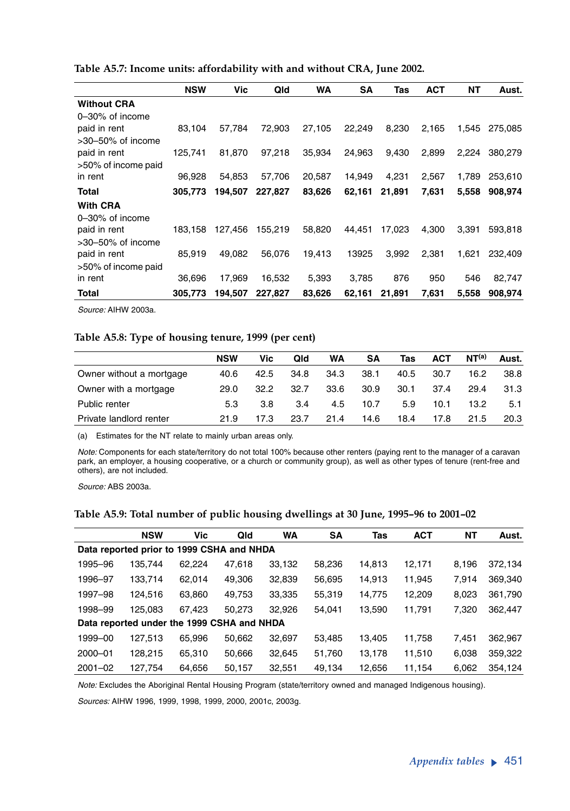| <b>NSW</b> | Vic     | Qld     | <b>WA</b> | SΑ     | Tas    | <b>ACT</b> | NΤ    | Aust.   |
|------------|---------|---------|-----------|--------|--------|------------|-------|---------|
|            |         |         |           |        |        |            |       |         |
|            |         |         |           |        |        |            |       |         |
| 83.104     | 57,784  | 72.903  | 27,105    | 22,249 | 8,230  | 2,165      | 1,545 | 275.085 |
|            |         |         |           |        |        |            |       |         |
| 125,741    | 81,870  | 97,218  | 35,934    | 24,963 | 9,430  | 2,899      | 2,224 | 380,279 |
|            |         |         |           |        |        |            |       |         |
| 96.928     | 54,853  | 57,706  | 20,587    | 14,949 | 4,231  | 2,567      | 1,789 | 253,610 |
| 305.773    | 194.507 | 227.827 | 83,626    | 62,161 | 21,891 | 7,631      | 5,558 | 908,974 |
|            |         |         |           |        |        |            |       |         |
|            |         |         |           |        |        |            |       |         |
| 183,158    | 127.456 | 155.219 | 58,820    | 44.451 | 17.023 | 4,300      | 3.391 | 593,818 |
|            |         |         |           |        |        |            |       |         |
| 85.919     | 49.082  | 56,076  | 19,413    | 13925  | 3.992  | 2,381      | 1,621 | 232,409 |
|            |         |         |           |        |        |            |       |         |
| 36,696     | 17,969  | 16,532  | 5,393     | 3,785  | 876    | 950        | 546   | 82,747  |
| 305,773    | 194.507 | 227,827 | 83,626    | 62,161 | 21,891 | 7,631      | 5,558 | 908,974 |
|            |         |         |           |        |        |            |       |         |

**Table A5.7: Income units: affordability with and without CRA, June 2002.** 

*Source:* AIHW 2003a.

#### **Table A5.8: Type of housing tenure, 1999 (per cent)**

|                          | <b>NSW</b> | Vic  | Qld  | WA   | SΑ   | Tas  | <b>ACT</b> | NT <sup>(a)</sup> | Aust. |
|--------------------------|------------|------|------|------|------|------|------------|-------------------|-------|
| Owner without a mortgage | 40.6       | 42.5 | 34.8 | 34.3 | 38.1 | 40.5 | 30.7       | 16.2              | 38.8  |
| Owner with a mortgage    | 29.0       | 32.2 | 32.7 | 33.6 | 30.9 | 30.1 | 37.4       | 29.4              | 31.3  |
| Public renter            | 5.3        | 3.8  | 3.4  | 4.5  | 10.7 | 5.9  | 10.1       | 13.2              | 5.1   |
| Private landlord renter  | 21.9       | 17.3 | 23.7 | 21.4 | 14.6 | 18.4 | 17.8       | 21.5              | 20.3  |

(a) Estimates for the NT relate to mainly urban areas only.

*Note:* Components for each state/territory do not total 100% because other renters (paying rent to the manager of a caravan park, an employer, a housing cooperative, or a church or community group), as well as other types of tenure (rent-free and others), are not included.

*Source:* ABS 2003a.

|  |  |  |  |  |  |  |  |  |  |  | Table A5.9: Total number of public housing dwellings at 30 June, 1995–96 to 2001–02 |  |  |  |  |  |  |  |
|--|--|--|--|--|--|--|--|--|--|--|-------------------------------------------------------------------------------------|--|--|--|--|--|--|--|
|--|--|--|--|--|--|--|--|--|--|--|-------------------------------------------------------------------------------------|--|--|--|--|--|--|--|

|             | <b>NSW</b>                                 | Vic    | Qld    | WA     | <b>SA</b> | Tas    | <b>ACT</b> | NΤ    | Aust.   |
|-------------|--------------------------------------------|--------|--------|--------|-----------|--------|------------|-------|---------|
|             | Data reported prior to 1999 CSHA and NHDA  |        |        |        |           |        |            |       |         |
| 1995-96     | 135,744                                    | 62.224 | 47,618 | 33,132 | 58,236    | 14,813 | 12,171     | 8,196 | 372,134 |
| 1996-97     | 133,714                                    | 62,014 | 49,306 | 32,839 | 56,695    | 14,913 | 11,945     | 7.914 | 369,340 |
| 1997-98     | 124,516                                    | 63.860 | 49,753 | 33,335 | 55,319    | 14,775 | 12,209     | 8.023 | 361,790 |
| 1998-99     | 125.083                                    | 67.423 | 50,273 | 32,926 | 54.041    | 13,590 | 11,791     | 7,320 | 362,447 |
|             | Data reported under the 1999 CSHA and NHDA |        |        |        |           |        |            |       |         |
| 1999-00     | 127,513                                    | 65.996 | 50,662 | 32,697 | 53,485    | 13.405 | 11,758     | 7.451 | 362,967 |
| 2000-01     | 128.215                                    | 65,310 | 50,666 | 32,645 | 51,760    | 13,178 | 11,510     | 6,038 | 359,322 |
| $2001 - 02$ | 127.754                                    | 64,656 | 50.157 | 32,551 | 49.134    | 12.656 | 11.154     | 6.062 | 354.124 |

*Note:* Excludes the Aboriginal Rental Housing Program (state/territory owned and managed Indigenous housing). *Sources:* AIHW 1996, 1999, 1998, 1999, 2000, 2001c, 2003g.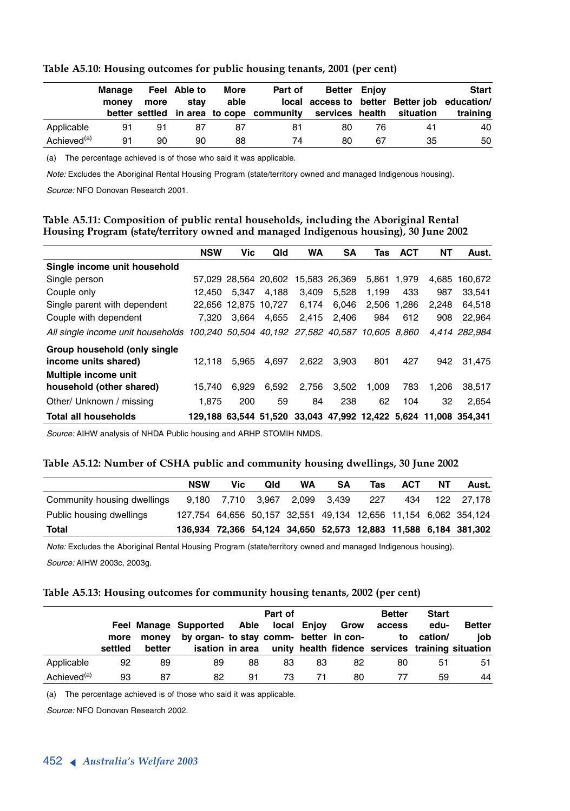|                         | Manage<br>money | more | Feel Able to<br>stav | More<br>able | Part of<br>better settled in area to cope community services health | <b>Better Eniov</b> |    | situation | <b>Start</b><br>local access to better Better job education/<br>training |
|-------------------------|-----------------|------|----------------------|--------------|---------------------------------------------------------------------|---------------------|----|-----------|--------------------------------------------------------------------------|
| Applicable              | 91              | 91   | 87                   | 87           | 81                                                                  | 80                  | 76 | 41        | 40                                                                       |
| Achieved <sup>(a)</sup> | 91              | 90   | 90                   | 88           | 74                                                                  | 80                  | 67 | 35        | 50                                                                       |

#### **Table A5.10: Housing outcomes for public housing tenants, 2001 (per cent)**

(a) The percentage achieved is of those who said it was applicable.

*Note:* Excludes the Aboriginal Rental Housing Program (state/territory owned and managed Indigenous housing).

*Source:* NFO Donovan Research 2001.

#### **Table A5.11: Composition of public rental households, including the Aboriginal Rental Housing Program (state/territory owned and managed Indigenous housing), 30 June 2002**

|                                                                                    | <b>NSW</b> | Vic   | Qld                  | WA    | SΑ            | Tas         | <b>ACT</b> | NΤ    | Aust.                                                           |
|------------------------------------------------------------------------------------|------------|-------|----------------------|-------|---------------|-------------|------------|-------|-----------------------------------------------------------------|
| Single income unit household                                                       |            |       |                      |       |               |             |            |       |                                                                 |
| Single person                                                                      |            |       | 57.029 28.564 20.602 |       | 15.583 26.369 | 5.861       | 1.979      | 4.685 | 160.672                                                         |
| Couple only                                                                        | 12.450     | 5.347 | 4.188                | 3.409 | 5.528         | 1.199       | 433        | 987   | 33,541                                                          |
| Single parent with dependent                                                       | 22.656     |       | 12.875 10.727        | 6.174 | 6.046         | 2,506 1,286 |            | 2.248 | 64.518                                                          |
| Couple with dependent                                                              | 7.320      | 3.664 | 4.655                | 2.415 | 2.406         | 984         | 612        | 908   | 22.964                                                          |
| All single income unit households 100,240 50,504 40,192 27,582 40,587 10,605 8,860 |            |       |                      |       |               |             |            |       | 4.414 282.984                                                   |
| Group household (only single<br>income units shared)                               | 12.118     | 5.965 | 4.697                | 2.622 | 3.903         | 801         | 427        | 942   | 31.475                                                          |
| Multiple income unit<br>household (other shared)                                   | 15.740     | 6.929 | 6,592                | 2,756 | 3,502         | 1.009       | 783        | 1.206 | 38,517                                                          |
| Other/ Unknown / missing                                                           | 1.875      | 200   | 59                   | 84    | 238           | 62          | 104        | 32    | 2.654                                                           |
| <b>Total all households</b>                                                        |            |       |                      |       |               |             |            |       | 129.188 63.544 51.520 33.043 47.992 12.422 5.624 11.008 354.341 |

*Source:* AIHW analysis of NHDA Public housing and ARHP STOMIH NMDS.

#### **Table A5.12: Number of CSHA public and community housing dwellings, 30 June 2002**

|                             | <b>NSW</b> | Vic                           | Qld | WA | SΑ | Tas   | <b>ACT</b> | NΤ | Aust.                                                           |
|-----------------------------|------------|-------------------------------|-----|----|----|-------|------------|----|-----------------------------------------------------------------|
| Community housing dwellings |            | 9.180 7.710 3.967 2.099 3.439 |     |    |    | - 227 | 434        |    | 122 27.178                                                      |
| Public housing dwellings    |            |                               |     |    |    |       |            |    | 127,754 64,656 50,157 32,551 49,134 12,656 11,154 6,062 354,124 |
| Total                       |            |                               |     |    |    |       |            |    | 136,934 72,366 54,124 34,650 52,573 12,883 11,588 6,184 381,302 |

*Note:* Excludes the Aboriginal Rental Housing Program (state/territory owned and managed Indigenous housing). *Source:* AIHW 2003c, 2003g.

#### **Table A5.13: Housing outcomes for community housing tenants, 2002 (per cent)**

|                         | more    | monev  | Feel Manage Supported Able local Enjoy Grow<br>by organ- to stay comm- better in con- |    | Part of |    |    | <b>Better</b><br>access                                          | <b>Start</b><br>edu-<br>to cation/ | <b>Better</b><br>iob |
|-------------------------|---------|--------|---------------------------------------------------------------------------------------|----|---------|----|----|------------------------------------------------------------------|------------------------------------|----------------------|
|                         | settled | better |                                                                                       |    |         |    |    | isation in area unity health fidence services training situation |                                    |                      |
| Applicable              | 92      | 89     | 89                                                                                    | 88 | 83      | 83 | 82 | 80                                                               | 51                                 | 51                   |
| Achieved <sup>(a)</sup> | 93      | 87     | 82                                                                                    | 91 | 73      | 71 | 80 | 77                                                               | 59                                 | 44                   |

(a) The percentage achieved is of those who said it was applicable.

*Source:* NFO Donovan Research 2002.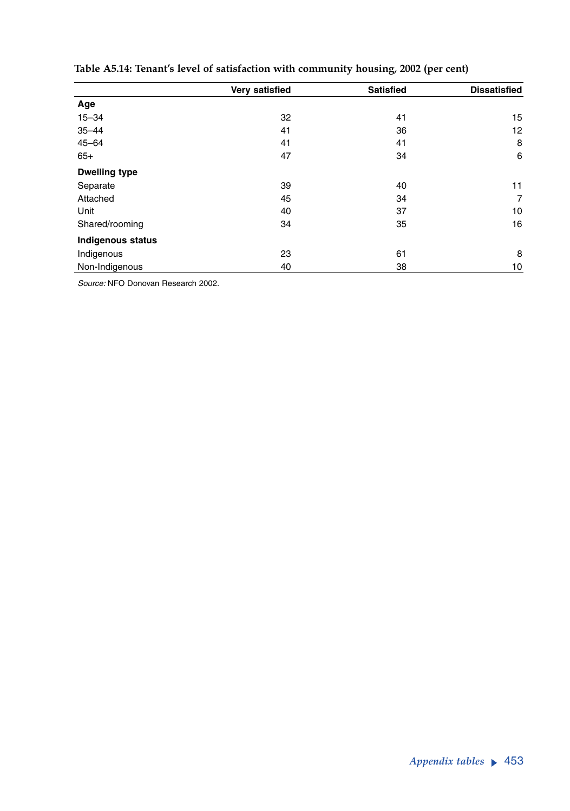|                          | Very satisfied | <b>Satisfied</b> | <b>Dissatisfied</b> |
|--------------------------|----------------|------------------|---------------------|
| Age                      |                |                  |                     |
| $15 - 34$                | 32             | 41               | 15                  |
| $35 - 44$                | 41             | 36               | 12                  |
| $45 - 64$                | 41             | 41               | 8                   |
| $65+$                    | 47             | 34               | 6                   |
| <b>Dwelling type</b>     |                |                  |                     |
| Separate                 | 39             | 40               | 11                  |
| Attached                 | 45             | 34               | $\overline{7}$      |
| Unit                     | 40             | 37               | 10                  |
| Shared/rooming           | 34             | 35               | 16                  |
| <b>Indigenous status</b> |                |                  |                     |
| Indigenous               | 23             | 61               | 8                   |
| Non-Indigenous           | 40             | 38               | 10                  |

## **Table A5.14: Tenant's level of satisfaction with community housing, 2002 (per cent)**

*Source:* NFO Donovan Research 2002.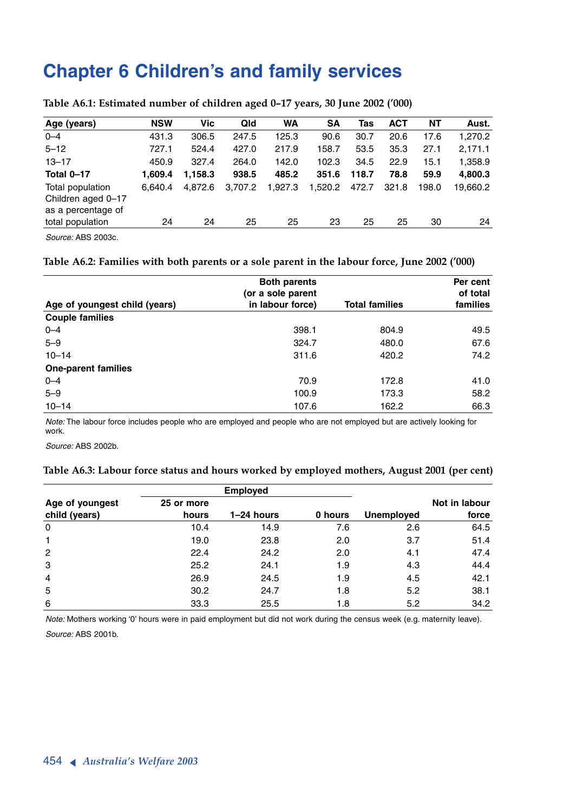## **Chapter 6 Children's and family services**

| Age (years)                                                  | <b>NSW</b> | Vic     | Qld     | <b>WA</b> | <b>SA</b> | Tas   | <b>ACT</b> | NΤ    | Aust.    |
|--------------------------------------------------------------|------------|---------|---------|-----------|-----------|-------|------------|-------|----------|
| $0 - 4$                                                      | 431.3      | 306.5   | 247.5   | 125.3     | 90.6      | 30.7  | 20.6       | 17.6  | 1,270.2  |
| $5 - 12$                                                     | 727.1      | 524.4   | 427.0   | 217.9     | 158.7     | 53.5  | 35.3       | 27.1  | 2.171.1  |
| $13 - 17$                                                    | 450.9      | 327.4   | 264.0   | 142.0     | 102.3     | 34.5  | 22.9       | 15.1  | 1,358.9  |
| Total 0-17                                                   | 1.609.4    | 1.158.3 | 938.5   | 485.2     | 351.6     | 118.7 | 78.8       | 59.9  | 4,800.3  |
| Total population<br>Children aged 0-17<br>as a percentage of | 6.640.4    | 4.872.6 | 3.707.2 | 1.927.3   | 1.520.2   | 472.7 | 321.8      | 198.0 | 19.660.2 |
| total population                                             | 24         | 24      | 25      | 25        | 23        | 25    | 25         | 30    | 24       |

#### **Table A6.1: Estimated number of children aged 0–17 years, 30 June 2002 ('000)**

*Source:* ABS 2003c.

#### **Table A6.2: Families with both parents or a sole parent in the labour force, June 2002 ('000)**

|                               | <b>Both parents</b><br>(or a sole parent |                       | Per cent<br>of total |
|-------------------------------|------------------------------------------|-----------------------|----------------------|
| Age of youngest child (years) | in labour force)                         | <b>Total families</b> | families             |
| <b>Couple families</b>        |                                          |                       |                      |
| $0 - 4$                       | 398.1                                    | 804.9                 | 49.5                 |
| $5 - 9$                       | 324.7                                    | 480.0                 | 67.6                 |
| $10 - 14$                     | 311.6                                    | 420.2                 | 74.2                 |
| <b>One-parent families</b>    |                                          |                       |                      |
| $0 - 4$                       | 70.9                                     | 172.8                 | 41.0                 |
| $5 - 9$                       | 100.9                                    | 173.3                 | 58.2                 |
| $10 - 14$                     | 107.6                                    | 162.2                 | 66.3                 |

*Note:* The labour force includes people who are employed and people who are not employed but are actively looking for work.

*Source:* ABS 2002b.

#### **Table A6.3: Labour force status and hours worked by employed mothers, August 2001 (per cent)**

|                 |            | <b>Employed</b> |         |                   |               |
|-----------------|------------|-----------------|---------|-------------------|---------------|
| Age of youngest | 25 or more |                 |         |                   | Not in labour |
| child (years)   | hours      | 1-24 hours      | 0 hours | <b>Unemployed</b> | force         |
| 0               | 10.4       | 14.9            | 7.6     | 2.6               | 64.5          |
| $\mathbf{1}$    | 19.0       | 23.8            | 2.0     | 3.7               | 51.4          |
| $\overline{2}$  | 22.4       | 24.2            | 2.0     | 4.1               | 47.4          |
| 3               | 25.2       | 24.1            | 1.9     | 4.3               | 44.4          |
| $\overline{4}$  | 26.9       | 24.5            | 1.9     | 4.5               | 42.1          |
| 5               | 30.2       | 24.7            | 1.8     | 5.2               | 38.1          |
| 6               | 33.3       | 25.5            | 1.8     | 5.2               | 34.2          |

*Note:* Mothers working '0' hours were in paid employment but did not work during the census week (e.g. maternity leave). *Source:* ABS 2001b.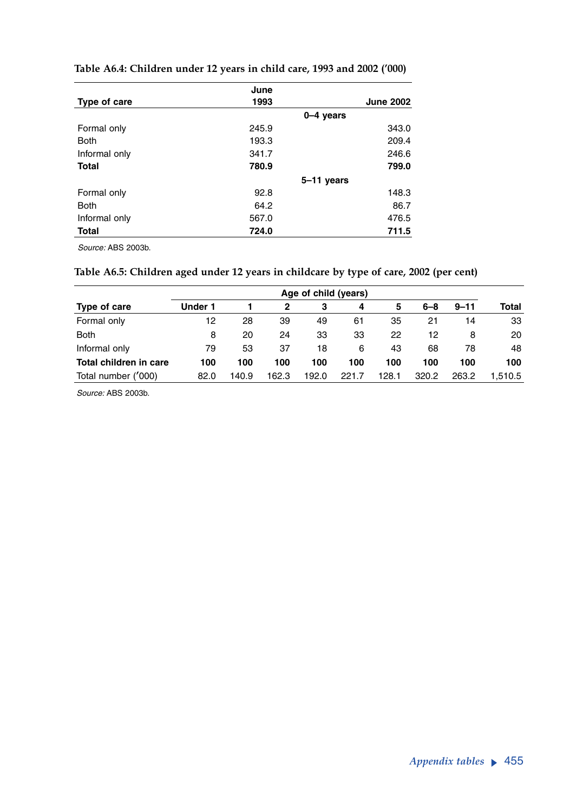|               | June  |                  |
|---------------|-------|------------------|
| Type of care  | 1993  | <b>June 2002</b> |
|               |       | $0-4$ years      |
| Formal only   | 245.9 | 343.0            |
| <b>Both</b>   | 193.3 | 209.4            |
| Informal only | 341.7 | 246.6            |
| <b>Total</b>  | 780.9 | 799.0            |
|               |       | 5-11 years       |
| Formal only   | 92.8  | 148.3            |
| <b>Both</b>   | 64.2  | 86.7             |
| Informal only | 567.0 | 476.5            |
| <b>Total</b>  | 724.0 | 711.5            |

### **Table A6.4: Children under 12 years in child care, 1993 and 2002 ('000)**

*Source:* ABS 2003b.

## **Table A6.5: Children aged under 12 years in childcare by type of care, 2002 (per cent)**

|                        | Age of child (years) |       |       |       |       |       |         |          |              |
|------------------------|----------------------|-------|-------|-------|-------|-------|---------|----------|--------------|
| Type of care           | Under 1              |       | 2     | З     | 4     | 5     | $6 - 8$ | $9 - 11$ | <b>Total</b> |
| Formal only            | 12                   | 28    | 39    | 49    | 61    | 35    | 21      | 14       | 33           |
| <b>Both</b>            | 8                    | 20    | 24    | 33    | 33    | 22    | 12      | 8        | 20           |
| Informal only          | 79                   | 53    | 37    | 18    | 6     | 43    | 68      | 78       | 48           |
| Total children in care | 100                  | 100   | 100   | 100   | 100   | 100   | 100     | 100      | 100          |
| Total number ('000)    | 82.0                 | 140.9 | 162.3 | 192.0 | 221.7 | 128.1 | 320.2   | 263.2    | 1.510.5      |

*Source:* ABS 2003b.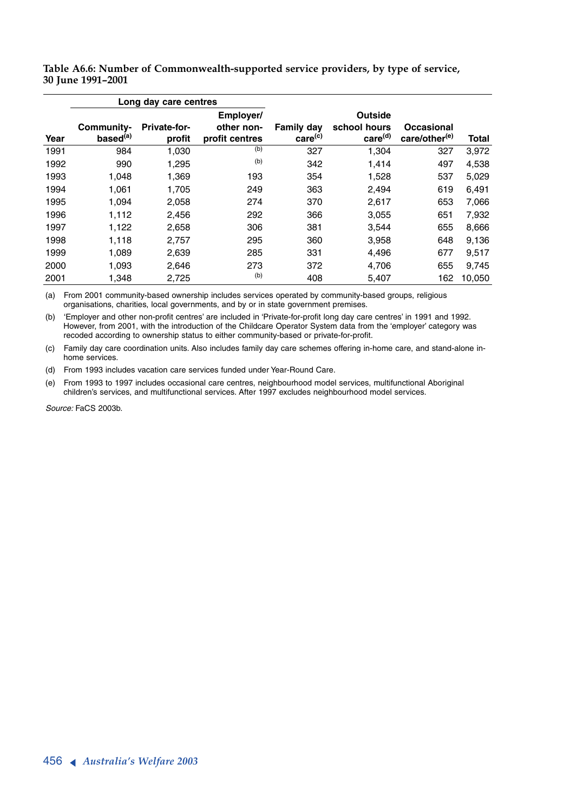|      |                                    | Long day care centres  |                              |                                   |                                     |                                         |        |
|------|------------------------------------|------------------------|------------------------------|-----------------------------------|-------------------------------------|-----------------------------------------|--------|
|      |                                    |                        | Employer/                    |                                   | Outside                             |                                         |        |
| Year | Community-<br>based <sup>(a)</sup> | Private-for-<br>profit | other non-<br>profit centres | Family day<br>care <sup>(c)</sup> | school hours<br>care <sup>(d)</sup> | Occasional<br>care/other <sup>(e)</sup> | Total  |
|      |                                    |                        |                              |                                   |                                     |                                         |        |
| 1991 | 984                                | 1,030                  | (b)                          | 327                               | 1,304                               | 327                                     | 3,972  |
| 1992 | 990                                | 1.295                  | (b)                          | 342                               | 1.414                               | 497                                     | 4,538  |
| 1993 | 1,048                              | 1,369                  | 193                          | 354                               | 1,528                               | 537                                     | 5,029  |
| 1994 | 1,061                              | 1,705                  | 249                          | 363                               | 2,494                               | 619                                     | 6,491  |
| 1995 | 1.094                              | 2,058                  | 274                          | 370                               | 2.617                               | 653                                     | 7,066  |
| 1996 | 1,112                              | 2,456                  | 292                          | 366                               | 3,055                               | 651                                     | 7,932  |
| 1997 | 1,122                              | 2,658                  | 306                          | 381                               | 3,544                               | 655                                     | 8,666  |
| 1998 | 1,118                              | 2,757                  | 295                          | 360                               | 3,958                               | 648                                     | 9,136  |
| 1999 | 1,089                              | 2,639                  | 285                          | 331                               | 4,496                               | 677                                     | 9,517  |
| 2000 | 1.093                              | 2,646                  | 273                          | 372                               | 4,706                               | 655                                     | 9,745  |
| 2001 | 1,348                              | 2,725                  | (b)                          | 408                               | 5,407                               | 162                                     | 10,050 |

**Table A6.6: Number of Commonwealth-supported service providers, by type of service, 30 June 1991–2001**

(a) From 2001 community-based ownership includes services operated by community-based groups, religious organisations, charities, local governments, and by or in state government premises.

(b) 'Employer and other non-profit centres' are included in 'Private-for-profit long day care centres' in 1991 and 1992. However, from 2001, with the introduction of the Childcare Operator System data from the 'employer' category was recoded according to ownership status to either community-based or private-for-profit.

(c) Family day care coordination units. Also includes family day care schemes offering in-home care, and stand-alone inhome services.

(d) From 1993 includes vacation care services funded under Year-Round Care.

(e) From 1993 to 1997 includes occasional care centres, neighbourhood model services, multifunctional Aboriginal children's services, and multifunctional services. After 1997 excludes neighbourhood model services.

*Source:* FaCS 2003b.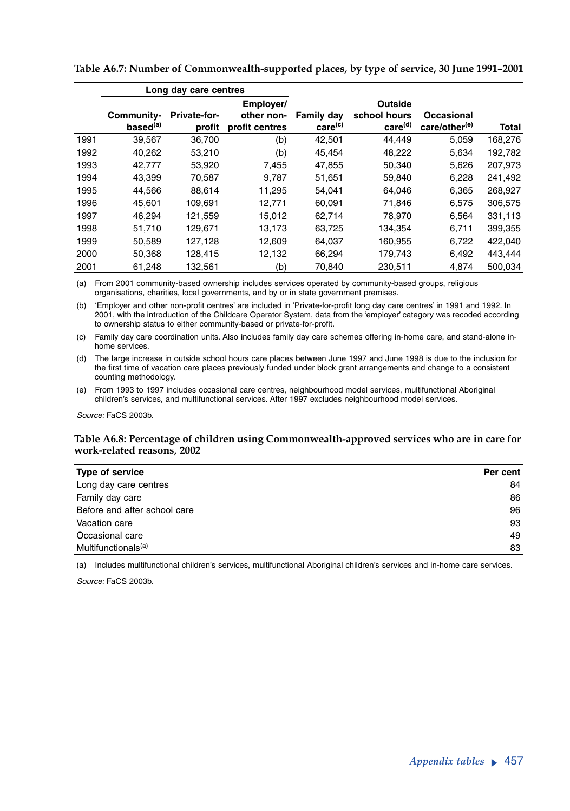|      |                                    | Long day care centres         |                              |                                   |                                     |                             |         |
|------|------------------------------------|-------------------------------|------------------------------|-----------------------------------|-------------------------------------|-----------------------------|---------|
|      |                                    |                               | Employer/                    |                                   | Outside                             |                             |         |
|      | Community-<br>based <sup>(a)</sup> | <b>Private-for-</b><br>profit | other non-<br>profit centres | Family day<br>care <sup>(c)</sup> | school hours<br>care <sup>(d)</sup> | Occasional<br>care/other(e) | Total   |
| 1991 | 39,567                             | 36,700                        | (b)                          | 42,501                            | 44.449                              | 5,059                       | 168,276 |
| 1992 | 40,262                             | 53,210                        | (b)                          | 45.454                            | 48,222                              | 5,634                       | 192,782 |
| 1993 | 42,777                             | 53,920                        | 7,455                        | 47,855                            | 50,340                              | 5,626                       | 207,973 |
| 1994 | 43.399                             | 70.587                        | 9.787                        | 51,651                            | 59.840                              | 6.228                       | 241,492 |
| 1995 | 44,566                             | 88.614                        | 11.295                       | 54.041                            | 64.046                              | 6,365                       | 268,927 |
| 1996 | 45.601                             | 109.691                       | 12.771                       | 60,091                            | 71.846                              | 6.575                       | 306,575 |
| 1997 | 46,294                             | 121,559                       | 15,012                       | 62,714                            | 78,970                              | 6,564                       | 331,113 |
| 1998 | 51.710                             | 129.671                       | 13.173                       | 63,725                            | 134.354                             | 6.711                       | 399,355 |
| 1999 | 50,589                             | 127,128                       | 12,609                       | 64,037                            | 160,955                             | 6,722                       | 422,040 |
| 2000 | 50.368                             | 128.415                       | 12.132                       | 66.294                            | 179.743                             | 6.492                       | 443.444 |
| 2001 | 61,248                             | 132,561                       | (b)                          | 70,840                            | 230,511                             | 4.874                       | 500.034 |

**Table A6.7: Number of Commonwealth-supported places, by type of service, 30 June 1991–2001**

(a) From 2001 community-based ownership includes services operated by community-based groups, religious organisations, charities, local governments, and by or in state government premises.

(b) 'Employer and other non-profit centres' are included in 'Private-for-profit long day care centres' in 1991 and 1992. In 2001, with the introduction of the Childcare Operator System, data from the 'employer' category was recoded according to ownership status to either community-based or private-for-profit.

(c) Family day care coordination units. Also includes family day care schemes offering in-home care, and stand-alone inhome services.

(d) The large increase in outside school hours care places between June 1997 and June 1998 is due to the inclusion for the first time of vacation care places previously funded under block grant arrangements and change to a consistent counting methodology.

(e) From 1993 to 1997 includes occasional care centres, neighbourhood model services, multifunctional Aboriginal children's services, and multifunctional services. After 1997 excludes neighbourhood model services.

*Source:* FaCS 2003b.

#### **Table A6.8: Percentage of children using Commonwealth-approved services who are in care for work-related reasons, 2002**

| Type of service                 | Per cent |
|---------------------------------|----------|
| Long day care centres           | 84       |
| Family day care                 | 86       |
| Before and after school care    | 96       |
| Vacation care                   | 93       |
| Occasional care                 | 49       |
| Multifunctionals <sup>(a)</sup> | 83       |

(a) Includes multifunctional children's services, multifunctional Aboriginal children's services and in-home care services.

*Source:* FaCS 2003b.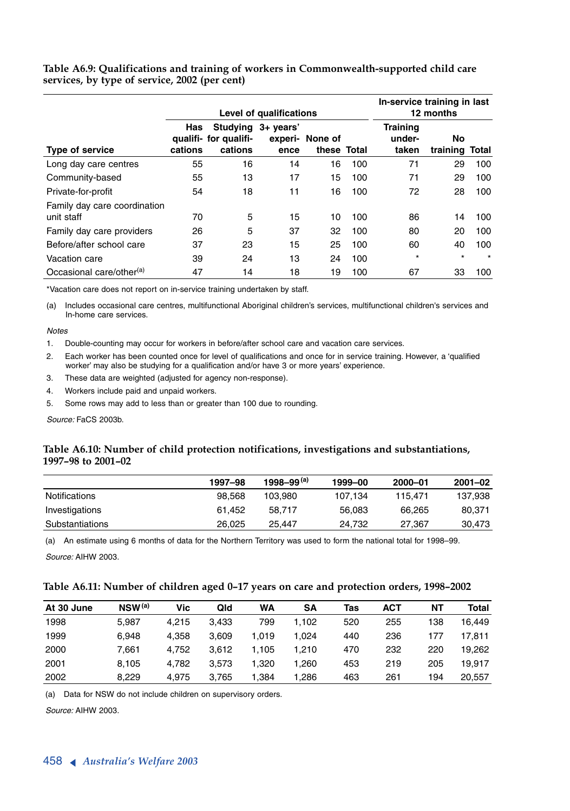#### **Table A6.9: Qualifications and training of workers in Commonwealth-supported child care services, by type of service, 2002 (per cent)**

|                                            | Level of qualifications |                                                        |      |                                |     | In-service training in last<br>12 months |                       |         |
|--------------------------------------------|-------------------------|--------------------------------------------------------|------|--------------------------------|-----|------------------------------------------|-----------------------|---------|
| Type of service                            | Has<br>cations          | Studying 3+ years'<br>qualifi- for qualifi-<br>cations | ence | experi- None of<br>these Total |     | <b>Training</b><br>under-<br>taken       | No.<br>training Total |         |
| Long day care centres                      | 55                      | 16                                                     | 14   | 16                             | 100 | 71                                       | 29                    | 100     |
| Community-based                            | 55                      | 13                                                     | 17   | 15                             | 100 | 71                                       | 29                    | 100     |
| Private-for-profit                         | 54                      | 18                                                     | 11   | 16                             | 100 | 72                                       | 28                    | 100     |
| Family day care coordination<br>unit staff | 70                      | 5                                                      | 15   | 10                             | 100 | 86                                       | 14                    | 100     |
| Family day care providers                  | 26                      | 5                                                      | 37   | 32                             | 100 | 80                                       | 20                    | 100     |
| Before/after school care                   | 37                      | 23                                                     | 15   | 25                             | 100 | 60                                       | 40                    | 100     |
| Vacation care                              | 39                      | 24                                                     | 13   | 24                             | 100 | $\star$                                  | $\star$               | $\star$ |
| Occasional care/other <sup>(a)</sup>       | 47                      | 14                                                     | 18   | 19                             | 100 | 67                                       | 33                    | 100     |

\*Vacation care does not report on in-service training undertaken by staff.

(a) Includes occasional care centres, multifunctional Aboriginal children's services, multifunctional children's services and In-home care services.

#### *Notes*

1. Double-counting may occur for workers in before/after school care and vacation care services.

2. Each worker has been counted once for level of qualifications and once for in service training. However, a 'qualified worker' may also be studying for a qualification and/or have 3 or more years' experience.

- 3. These data are weighted (adjusted for agency non-response).
- 4. Workers include paid and unpaid workers.

5. Some rows may add to less than or greater than 100 due to rounding.

*Source:* FaCS 2003b.

#### **Table A6.10: Number of child protection notifications, investigations and substantiations, 1997–98 to 2001–02**

|                 | 1997-98 | 1998–99 <sup>(a)</sup> | 1999-00 | 2000-01 | $2001 - 02$ |
|-----------------|---------|------------------------|---------|---------|-------------|
| Notifications   | 98.568  | 103.980                | 107.134 | 115.471 | 137.938     |
| Investigations  | 61.452  | 58.717                 | 56.083  | 66.265  | 80.371      |
| Substantiations | 26.025  | 25.447                 | 24.732  | 27.367  | 30.473      |

(a) An estimate using 6 months of data for the Northern Territory was used to form the national total for 1998–99.

*Source:* AIHW 2003.

#### **Table A6.11: Number of children aged 0–17 years on care and protection orders, 1998–2002**

| At 30 June | $NSW^{(a)}$ | Vic   | Qld   | <b>WA</b> | SΑ    | Tas | ACT | NΤ  | Total  |
|------------|-------------|-------|-------|-----------|-------|-----|-----|-----|--------|
| 1998       | 5,987       | 4.215 | 3.433 | 799       | 1,102 | 520 | 255 | 138 | 16.449 |
| 1999       | 6.948       | 4.358 | 3.609 | 1.019     | 1.024 | 440 | 236 | 177 | 17.811 |
| 2000       | 7.661       | 4.752 | 3.612 | 1.105     | 1.210 | 470 | 232 | 220 | 19.262 |
| 2001       | 8.105       | 4.782 | 3.573 | 1.320     | 1.260 | 453 | 219 | 205 | 19.917 |
| 2002       | 8.229       | 4.975 | 3.765 | 1.384     | 1.286 | 463 | 261 | 194 | 20.557 |

(a) Data for NSW do not include children on supervisory orders.

*Source:* AIHW 2003.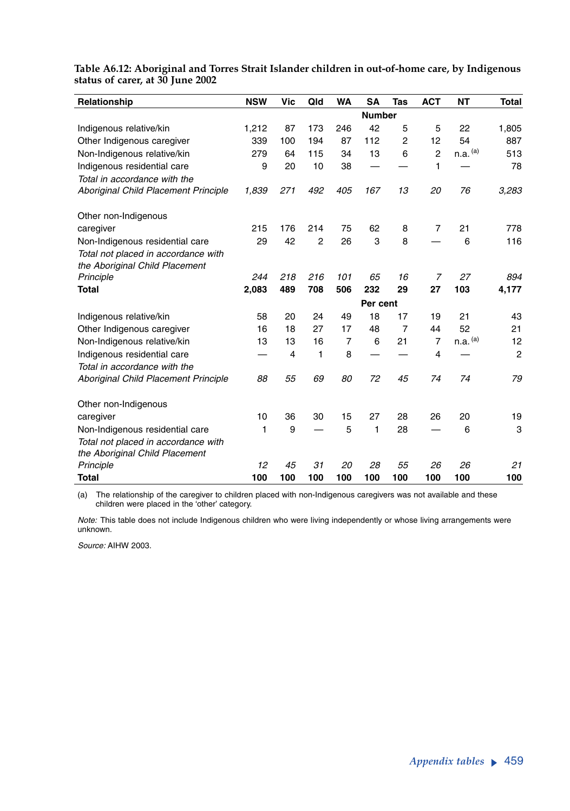| Relationship                         | <b>NSW</b> | Vic | Qld            | <b>WA</b>      | <b>SA</b>     | Tas            | <b>ACT</b>     | <b>NT</b>    | <b>Total</b>   |
|--------------------------------------|------------|-----|----------------|----------------|---------------|----------------|----------------|--------------|----------------|
|                                      |            |     |                |                | <b>Number</b> |                |                |              |                |
| Indigenous relative/kin              | 1,212      | 87  | 173            | 246            | 42            | 5              | 5              | 22           | 1,805          |
| Other Indigenous caregiver           | 339        | 100 | 194            | 87             | 112           | $\overline{2}$ | 12             | 54           | 887            |
| Non-Indigenous relative/kin          | 279        | 64  | 115            | 34             | 13            | 6              | $\overline{2}$ | $n.a.$ $(a)$ | 513            |
| Indigenous residential care          | 9          | 20  | 10             | 38             |               |                | 1              |              | 78             |
| Total in accordance with the         |            |     |                |                |               |                |                |              |                |
| Aboriginal Child Placement Principle | 1,839      | 271 | 492            | 405            | 167           | 13             | 20             | 76           | 3,283          |
| Other non-Indigenous                 |            |     |                |                |               |                |                |              |                |
| caregiver                            | 215        | 176 | 214            | 75             | 62            | 8              | $\overline{7}$ | 21           | 778            |
| Non-Indigenous residential care      | 29         | 42  | $\overline{2}$ | 26             | 3             | 8              |                | 6            | 116            |
| Total not placed in accordance with  |            |     |                |                |               |                |                |              |                |
| the Aboriginal Child Placement       |            |     |                |                |               |                |                |              |                |
| Principle                            | 244        | 218 | 216            | 101            | 65            | 16             | 7              | 27           | 894            |
| <b>Total</b>                         | 2,083      | 489 | 708            | 506            | 232           | 29             | 27             | 103          | 4,177          |
|                                      |            |     |                |                | Per cent      |                |                |              |                |
| Indigenous relative/kin              | 58         | 20  | 24             | 49             | 18            | 17             | 19             | 21           | 43             |
| Other Indigenous caregiver           | 16         | 18  | 27             | 17             | 48            | $\overline{7}$ | 44             | 52           | 21             |
| Non-Indigenous relative/kin          | 13         | 13  | 16             | $\overline{7}$ | 6             | 21             | $\overline{7}$ | $n.a.$ $(a)$ | 12             |
| Indigenous residential care          |            | 4   | 1              | 8              |               |                | 4              |              | $\overline{2}$ |
| Total in accordance with the         |            |     |                |                |               |                |                |              |                |
| Aboriginal Child Placement Principle | 88         | 55  | 69             | 80             | 72            | 45             | 74             | 74           | 79             |
| Other non-Indigenous                 |            |     |                |                |               |                |                |              |                |
| caregiver                            | 10         | 36  | 30             | 15             | 27            | 28             | 26             | 20           | 19             |
| Non-Indigenous residential care      | 1          | 9   |                | 5              | 1             | 28             |                | 6            | 3              |
| Total not placed in accordance with  |            |     |                |                |               |                |                |              |                |
| the Aboriginal Child Placement       |            |     |                |                |               |                |                |              |                |
| Principle                            | 12         | 45  | 31             | 20             | 28            | 55             | 26             | 26           | 21             |
| <b>Total</b>                         | 100        | 100 | 100            | 100            | 100           | 100            | 100            | 100          | 100            |

### **Table A6.12: Aboriginal and Torres Strait Islander children in out-of-home care, by Indigenous status of carer, at 30 June 2002**

(a) The relationship of the caregiver to children placed with non-Indigenous caregivers was not available and these children were placed in the 'other' category.

*Note:* This table does not include Indigenous children who were living independently or whose living arrangements were unknown.

*Source:* AIHW 2003.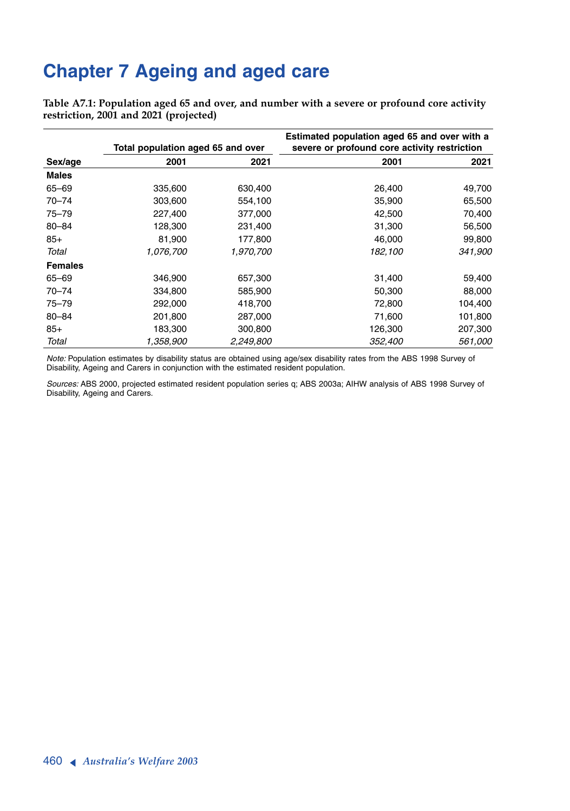# **Chapter 7 Ageing and aged care**

**Table A7.1: Population aged 65 and over, and number with a severe or profound core activity restriction, 2001 and 2021 (projected)**

|                | Total population aged 65 and over |           | Estimated population aged 65 and over with a<br>severe or profound core activity restriction |         |  |  |
|----------------|-----------------------------------|-----------|----------------------------------------------------------------------------------------------|---------|--|--|
| Sex/age        | 2001                              | 2021      | 2001                                                                                         | 2021    |  |  |
| <b>Males</b>   |                                   |           |                                                                                              |         |  |  |
| $65 - 69$      | 335,600                           | 630,400   | 26,400                                                                                       | 49,700  |  |  |
| $70 - 74$      | 303,600                           | 554,100   | 35,900                                                                                       | 65,500  |  |  |
| 75-79          | 227,400                           | 377,000   | 42,500                                                                                       | 70,400  |  |  |
| $80 - 84$      | 128,300                           | 231,400   | 31,300                                                                                       | 56,500  |  |  |
| $85+$          | 81,900                            | 177,800   | 46,000                                                                                       | 99,800  |  |  |
| Total          | 1,076,700                         | 1,970,700 | 182,100                                                                                      | 341,900 |  |  |
| <b>Females</b> |                                   |           |                                                                                              |         |  |  |
| 65-69          | 346,900                           | 657,300   | 31,400                                                                                       | 59,400  |  |  |
| $70 - 74$      | 334,800                           | 585,900   | 50,300                                                                                       | 88,000  |  |  |
| $75 - 79$      | 292,000                           | 418,700   | 72,800                                                                                       | 104,400 |  |  |
| $80 - 84$      | 201,800                           | 287,000   | 71,600                                                                                       | 101,800 |  |  |
| $85+$          | 183,300                           | 300,800   | 126,300                                                                                      | 207,300 |  |  |
| Total          | 1,358,900                         | 2,249,800 | 352,400                                                                                      | 561,000 |  |  |

*Note:* Population estimates by disability status are obtained using age/sex disability rates from the ABS 1998 Survey of Disability, Ageing and Carers in conjunction with the estimated resident population.

*Sources:* ABS 2000, projected estimated resident population series q; ABS 2003a; AIHW analysis of ABS 1998 Survey of Disability, Ageing and Carers.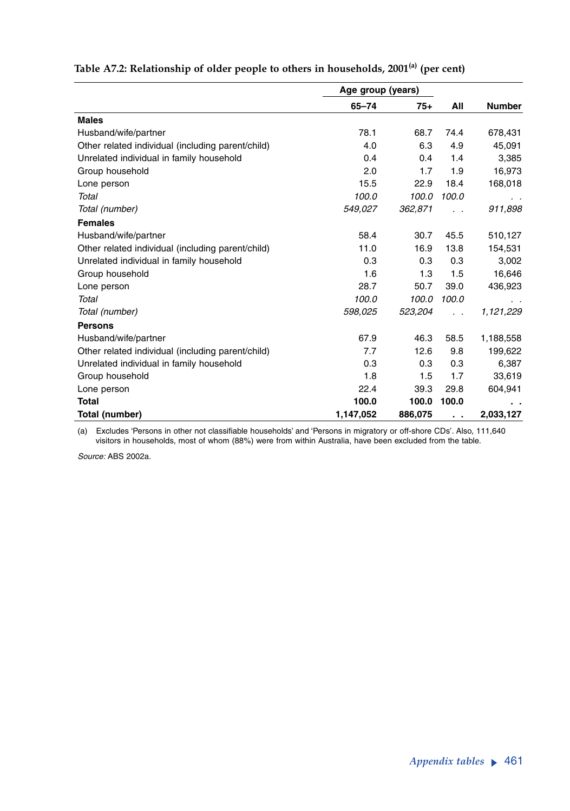|                                                   | Age group (years) |         |                          |               |
|---------------------------------------------------|-------------------|---------|--------------------------|---------------|
|                                                   | $65 - 74$         | $75+$   | All                      | <b>Number</b> |
| <b>Males</b>                                      |                   |         |                          |               |
| Husband/wife/partner                              | 78.1              | 68.7    | 74.4                     | 678,431       |
| Other related individual (including parent/child) | 4.0               | 6.3     | 4.9                      | 45,091        |
| Unrelated individual in family household          | 0.4               | 0.4     | 1.4                      | 3,385         |
| Group household                                   | 2.0               | 1.7     | 1.9                      | 16,973        |
| Lone person                                       | 15.5              | 22.9    | 18.4                     | 168,018       |
| Total                                             | 100.0             | 100.0   | 100.0                    |               |
| Total (number)                                    | 549,027           | 362,871 |                          | 911,898       |
| <b>Females</b>                                    |                   |         |                          |               |
| Husband/wife/partner                              | 58.4              | 30.7    | 45.5                     | 510,127       |
| Other related individual (including parent/child) | 11.0              | 16.9    | 13.8                     | 154,531       |
| Unrelated individual in family household          | 0.3               | 0.3     | 0.3                      | 3,002         |
| Group household                                   | 1.6               | 1.3     | 1.5                      | 16,646        |
| Lone person                                       | 28.7              | 50.7    | 39.0                     | 436,923       |
| Total                                             | 100.0             | 100.0   | 100.0                    | $\sim$        |
| Total (number)                                    | 598,025           | 523,204 | $\overline{\phantom{a}}$ | 1,121,229     |
| <b>Persons</b>                                    |                   |         |                          |               |
| Husband/wife/partner                              | 67.9              | 46.3    | 58.5                     | 1,188,558     |
| Other related individual (including parent/child) | 7.7               | 12.6    | 9.8                      | 199,622       |
| Unrelated individual in family household          | 0.3               | 0.3     | 0.3                      | 6,387         |
| Group household                                   | 1.8               | 1.5     | 1.7                      | 33,619        |
| Lone person                                       | 22.4              | 39.3    | 29.8                     | 604,941       |
| <b>Total</b>                                      | 100.0             | 100.0   | 100.0                    |               |
| Total (number)                                    | 1,147,052         | 886,075 | $\sim$                   | 2,033,127     |

## **Table A7.2: Relationship of older people to others in households, 2001(a) (per cent)**

(a) Excludes 'Persons in other not classifiable households' and 'Persons in migratory or off-shore CDs'. Also, 111,640 visitors in households, most of whom (88%) were from within Australia, have been excluded from the table.

*Source:* ABS 2002a.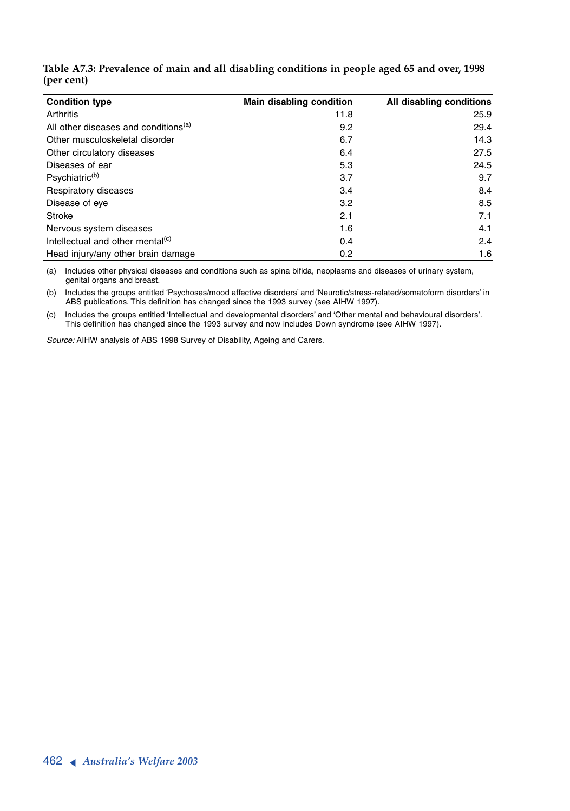| <b>Condition type</b>                            | Main disabling condition | All disabling conditions |
|--------------------------------------------------|--------------------------|--------------------------|
| Arthritis                                        | 11.8                     | 25.9                     |
| All other diseases and conditions <sup>(a)</sup> | 9.2                      | 29.4                     |
| Other musculoskeletal disorder                   | 6.7                      | 14.3                     |
| Other circulatory diseases                       | 6.4                      | 27.5                     |
| Diseases of ear                                  | 5.3                      | 24.5                     |
| Psychiatric <sup>(b)</sup>                       | 3.7                      | 9.7                      |
| Respiratory diseases                             | 3.4                      | 8.4                      |
| Disease of eye                                   | 3.2                      | 8.5                      |
| <b>Stroke</b>                                    | 2.1                      | 7.1                      |
| Nervous system diseases                          | 1.6                      | 4.1                      |
| Intellectual and other mental <sup>(c)</sup>     | 0.4                      | 2.4                      |
| Head injury/any other brain damage               | 0.2                      | 1.6                      |

**Table A7.3: Prevalence of main and all disabling conditions in people aged 65 and over, 1998 (per cent)**

(a) Includes other physical diseases and conditions such as spina bifida, neoplasms and diseases of urinary system, genital organs and breast.

(b) Includes the groups entitled 'Psychoses/mood affective disorders' and 'Neurotic/stress-related/somatoform disorders' in ABS publications. This definition has changed since the 1993 survey (see AIHW 1997).

(c) Includes the groups entitled 'Intellectual and developmental disorders' and 'Other mental and behavioural disorders'. This definition has changed since the 1993 survey and now includes Down syndrome (see AIHW 1997).

*Source:* AIHW analysis of ABS 1998 Survey of Disability, Ageing and Carers.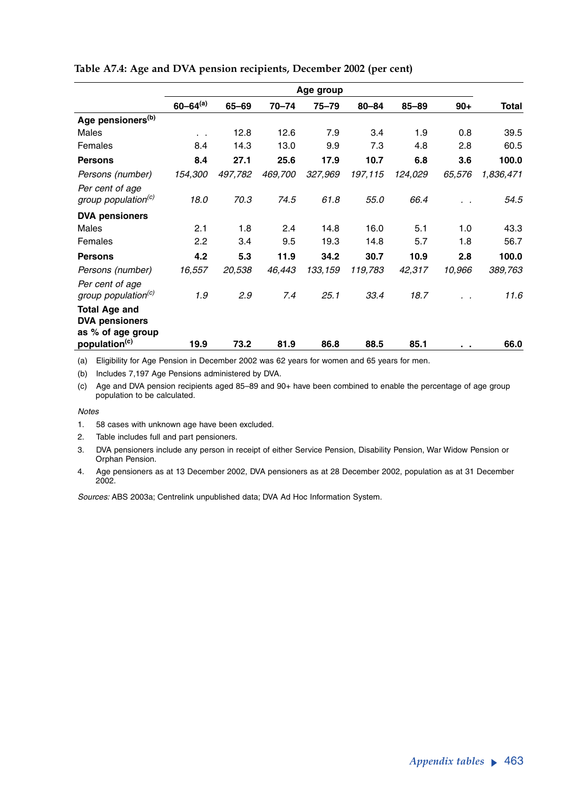|                                                                    | Age group       |         |         |           |           |           |        |           |
|--------------------------------------------------------------------|-----------------|---------|---------|-----------|-----------|-----------|--------|-----------|
|                                                                    | $60 - 64^{(a)}$ | 65-69   | 70-74   | $75 - 79$ | $80 - 84$ | $85 - 89$ | $90+$  | Total     |
| Age pensioners <sup>(b)</sup>                                      |                 |         |         |           |           |           |        |           |
| Males                                                              | $\cdot$ .       | 12.8    | 12.6    | 7.9       | 3.4       | 1.9       | 0.8    | 39.5      |
| Females                                                            | 8.4             | 14.3    | 13.0    | 9.9       | 7.3       | 4.8       | 2.8    | 60.5      |
| <b>Persons</b>                                                     | 8.4             | 27.1    | 25.6    | 17.9      | 10.7      | 6.8       | 3.6    | 100.0     |
| Persons (number)                                                   | 154,300         | 497,782 | 469,700 | 327,969   | 197,115   | 124,029   | 65,576 | 1,836,471 |
| Per cent of age<br>group population <sup>(c)</sup>                 | 18.0            | 70.3    | 74.5    | 61.8      | 55.0      | 66.4      |        | 54.5      |
| <b>DVA pensioners</b>                                              |                 |         |         |           |           |           |        |           |
| Males                                                              | 2.1             | 1.8     | 2.4     | 14.8      | 16.0      | 5.1       | 1.0    | 43.3      |
| Females                                                            | 2.2             | 3.4     | 9.5     | 19.3      | 14.8      | 5.7       | 1.8    | 56.7      |
| <b>Persons</b>                                                     | 4.2             | 5.3     | 11.9    | 34.2      | 30.7      | 10.9      | 2.8    | 100.0     |
| Persons (number)                                                   | 16,557          | 20,538  | 46,443  | 133,159   | 119,783   | 42,317    | 10,966 | 389,763   |
| Per cent of age<br>group population <sup>(c)</sup>                 | 1.9             | 2.9     | 7.4     | 25.1      | 33.4      | 18.7      |        | 11.6      |
| <b>Total Age and</b><br><b>DVA pensioners</b><br>as % of age group |                 |         |         |           |           |           |        |           |
| population <sup>(c)</sup>                                          | 19.9            | 73.2    | 81.9    | 86.8      | 88.5      | 85.1      | . .    | 66.0      |

#### **Table A7.4: Age and DVA pension recipients, December 2002 (per cent)**

(a) Eligibility for Age Pension in December 2002 was 62 years for women and 65 years for men.

(b) Includes 7,197 Age Pensions administered by DVA.

(c) Age and DVA pension recipients aged 85–89 and 90+ have been combined to enable the percentage of age group population to be calculated.

#### *Notes*

- 1. 58 cases with unknown age have been excluded.
- 2. Table includes full and part pensioners.
- 3. DVA pensioners include any person in receipt of either Service Pension, Disability Pension, War Widow Pension or Orphan Pension.
- 4. Age pensioners as at 13 December 2002, DVA pensioners as at 28 December 2002, population as at 31 December 2002.

*Sources:* ABS 2003a; Centrelink unpublished data; DVA Ad Hoc Information System.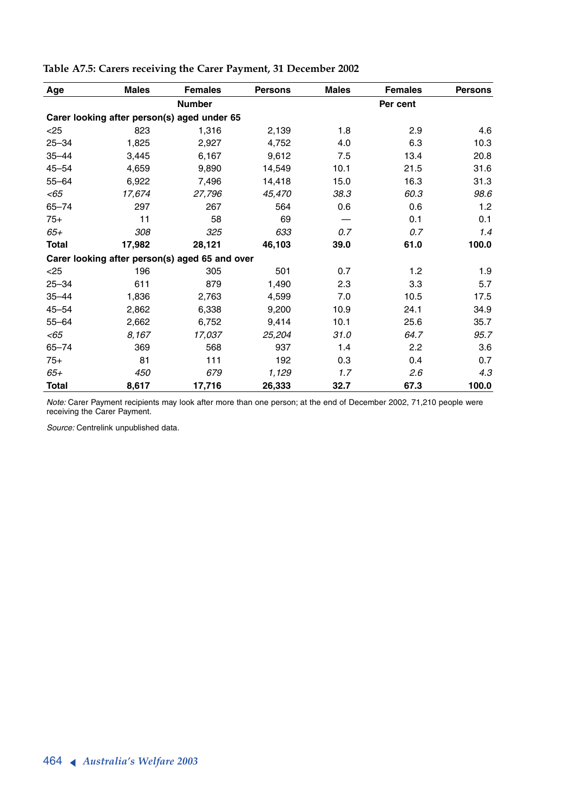| Age       | <b>Males</b> | <b>Females</b>                                 | <b>Persons</b> | <b>Males</b> | <b>Females</b> | <b>Persons</b> |
|-----------|--------------|------------------------------------------------|----------------|--------------|----------------|----------------|
|           |              | <b>Number</b>                                  |                |              | Per cent       |                |
|           |              | Carer looking after person(s) aged under 65    |                |              |                |                |
| $25$      | 823          | 1.316                                          | 2,139          | 1.8          | 2.9            | 4.6            |
| $25 - 34$ | 1,825        | 2,927                                          | 4,752          | 4.0          | 6.3            | 10.3           |
| $35 - 44$ | 3,445        | 6,167                                          | 9,612          | 7.5          | 13.4           | 20.8           |
| $45 - 54$ | 4,659        | 9,890                                          | 14,549         | 10.1         | 21.5           | 31.6           |
| $55 - 64$ | 6,922        | 7,496                                          | 14,418         | 15.0         | 16.3           | 31.3           |
| <65       | 17,674       | 27,796                                         | 45,470         | 38.3         | 60.3           | 98.6           |
| $65 - 74$ | 297          | 267                                            | 564            | 0.6          | 0.6            | 1.2            |
| $75+$     | 11           | 58                                             | 69             |              | 0.1            | 0.1            |
| 65+       | 308          | 325                                            | 633            | 0.7          | 0.7            | 1.4            |
| Total     | 17,982       | 28,121                                         | 46,103         | 39.0         | 61.0           | 100.0          |
|           |              | Carer looking after person(s) aged 65 and over |                |              |                |                |
| $25$      | 196          | 305                                            | 501            | 0.7          | 1.2            | 1.9            |
| $25 - 34$ | 611          | 879                                            | 1,490          | 2.3          | 3.3            | 5.7            |
| $35 - 44$ | 1,836        | 2,763                                          | 4,599          | 7.0          | 10.5           | 17.5           |
| $45 - 54$ | 2.862        | 6,338                                          | 9,200          | 10.9         | 24.1           | 34.9           |
| $55 - 64$ | 2,662        | 6,752                                          | 9,414          | 10.1         | 25.6           | 35.7           |
| $<$ 65    | 8,167        | 17,037                                         | 25,204         | 31.0         | 64.7           | 95.7           |
| $65 - 74$ | 369          | 568                                            | 937            | 1.4          | 2.2            | 3.6            |
| $75+$     | 81           | 111                                            | 192            | 0.3          | 0.4            | 0.7            |
| 65+       | 450          | 679                                            | 1,129          | 1.7          | 2.6            | 4.3            |
| Total     | 8,617        | 17,716                                         | 26,333         | 32.7         | 67.3           | 100.0          |

**Table A7.5: Carers receiving the Carer Payment, 31 December 2002**

*Note:* Carer Payment recipients may look after more than one person; at the end of December 2002, 71,210 people were receiving the Carer Payment.

*Source:* Centrelink unpublished data.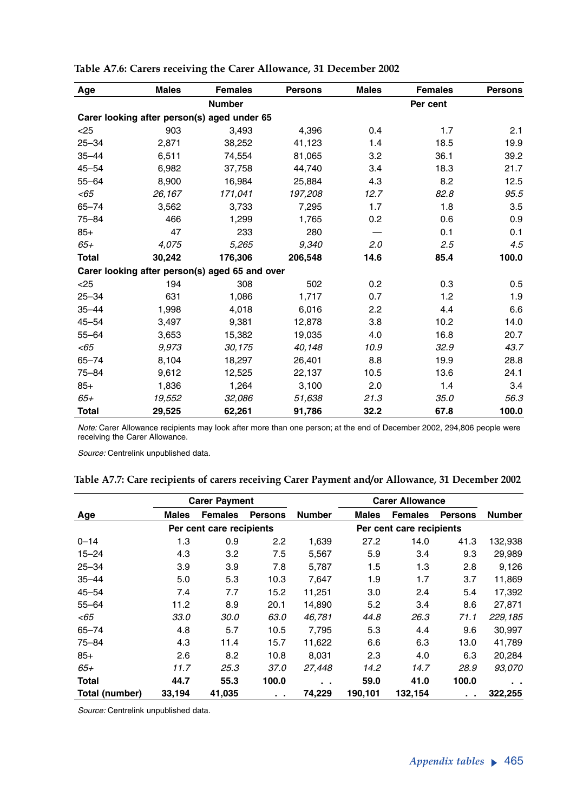| Age          | <b>Males</b> | <b>Females</b>                                 | <b>Persons</b> | <b>Males</b> | <b>Females</b> | <b>Persons</b> |
|--------------|--------------|------------------------------------------------|----------------|--------------|----------------|----------------|
|              |              | <b>Number</b>                                  |                |              | Per cent       |                |
|              |              | Carer looking after person(s) aged under 65    |                |              |                |                |
| $<$ 25       | 903          | 3,493                                          | 4,396          | 0.4          | 1.7            | 2.1            |
| $25 - 34$    | 2,871        | 38,252                                         | 41,123         | 1.4          | 18.5           | 19.9           |
| $35 - 44$    | 6,511        | 74,554                                         | 81,065         | 3.2          | 36.1           | 39.2           |
| $45 - 54$    | 6,982        | 37,758                                         | 44,740         | 3.4          | 18.3           | 21.7           |
| $55 - 64$    | 8,900        | 16.984                                         | 25.884         | 4.3          | 8.2            | 12.5           |
| < 65         | 26,167       | 171,041                                        | 197,208        | 12.7         | 82.8           | 95.5           |
| $65 - 74$    | 3,562        | 3,733                                          | 7,295          | 1.7          | 1.8            | 3.5            |
| 75-84        | 466          | 1,299                                          | 1,765          | 0.2          | 0.6            | 0.9            |
| $85+$        | 47           | 233                                            | 280            |              | 0.1            | 0.1            |
| 65+          | 4,075        | 5,265                                          | 9,340          | 2.0          | 2.5            | 4.5            |
| <b>Total</b> | 30,242       | 176,306                                        | 206,548        | 14.6         | 85.4           | 100.0          |
|              |              | Carer looking after person(s) aged 65 and over |                |              |                |                |
| $<$ 25       | 194          | 308                                            | 502            | 0.2          | 0.3            | 0.5            |
| $25 - 34$    | 631          | 1,086                                          | 1,717          | 0.7          | 1.2            | 1.9            |
| $35 - 44$    | 1,998        | 4,018                                          | 6,016          | 2.2          | 4.4            | 6.6            |
| $45 - 54$    | 3,497        | 9,381                                          | 12,878         | 3.8          | 10.2           | 14.0           |
| $55 - 64$    | 3,653        | 15,382                                         | 19,035         | 4.0          | 16.8           | 20.7           |
| $<$ 65       | 9,973        | 30,175                                         | 40.148         | 10.9         | 32.9           | 43.7           |
| $65 - 74$    | 8,104        | 18,297                                         | 26,401         | 8.8          | 19.9           | 28.8           |
| $75 - 84$    | 9,612        | 12,525                                         | 22,137         | 10.5         | 13.6           | 24.1           |
| $85+$        | 1,836        | 1,264                                          | 3,100          | 2.0          | 1.4            | 3.4            |
| 65+          | 19,552       | 32,086                                         | 51,638         | 21.3         | 35.0           | 56.3           |
| <b>Total</b> | 29,525       | 62,261                                         | 91,786         | 32.2         | 67.8           | 100.0          |

| Table A7.6: Carers receiving the Carer Allowance, 31 December 2002 |  |  |  |  |
|--------------------------------------------------------------------|--|--|--|--|
|                                                                    |  |  |  |  |

*Note:* Carer Allowance recipients may look after more than one person; at the end of December 2002, 294,806 people were receiving the Carer Allowance.

*Source:* Centrelink unpublished data.

|  |  |  |  | Table A7.7: Care recipients of carers receiving Carer Payment and/or Allowance, 31 December 2002 |  |  |
|--|--|--|--|--------------------------------------------------------------------------------------------------|--|--|
|  |  |  |  |                                                                                                  |  |  |

|                | <b>Carer Payment</b> |                          |                |               | <b>Carer Allowance</b> |                          |                |               |
|----------------|----------------------|--------------------------|----------------|---------------|------------------------|--------------------------|----------------|---------------|
| Age            | Males                | <b>Females</b>           | <b>Persons</b> | <b>Number</b> | Males                  | <b>Females</b>           | <b>Persons</b> | Number        |
|                |                      | Per cent care recipients |                |               |                        | Per cent care recipients |                |               |
| $0 - 14$       | 1.3                  | 0.9                      | 2.2            | 1,639         | 27.2                   | 14.0                     | 41.3           | 132,938       |
| $15 - 24$      | 4.3                  | 3.2                      | 7.5            | 5,567         | 5.9                    | 3.4                      | 9.3            | 29,989        |
| $25 - 34$      | 3.9                  | 3.9                      | 7.8            | 5,787         | 1.5                    | 1.3                      | 2.8            | 9,126         |
| $35 - 44$      | 5.0                  | 5.3                      | 10.3           | 7,647         | 1.9                    | 1.7                      | 3.7            | 11,869        |
| $45 - 54$      | 7.4                  | 7.7                      | 15.2           | 11,251        | 3.0                    | 2.4                      | 5.4            | 17,392        |
| $55 - 64$      | 11.2                 | 8.9                      | 20.1           | 14,890        | 5.2                    | 3.4                      | 8.6            | 27,871        |
| $<$ 65         | 33.0                 | 30.0                     | 63.0           | 46,781        | 44.8                   | 26.3                     | 71.1           | 229,185       |
| $65 - 74$      | 4.8                  | 5.7                      | 10.5           | 7,795         | 5.3                    | 4.4                      | 9.6            | 30,997        |
| $75 - 84$      | 4.3                  | 11.4                     | 15.7           | 11,622        | 6.6                    | 6.3                      | 13.0           | 41,789        |
| $85+$          | 2.6                  | 8.2                      | 10.8           | 8,031         | 2.3                    | 4.0                      | 6.3            | 20,284        |
| $65+$          | 11.7                 | 25.3                     | 37.0           | 27,448        | 14.2                   | 14.7                     | 28.9           | 93,070        |
| <b>Total</b>   | 44.7                 | 55.3                     | 100.0          | . .           | 59.0                   | 41.0                     | 100.0          | $\sim$ $\sim$ |
| Total (number) | 33,194               | 41,035                   | $\sim$         | 74,229        | 190,101                | 132,154                  |                | 322,255       |

*Source:* Centrelink unpublished data.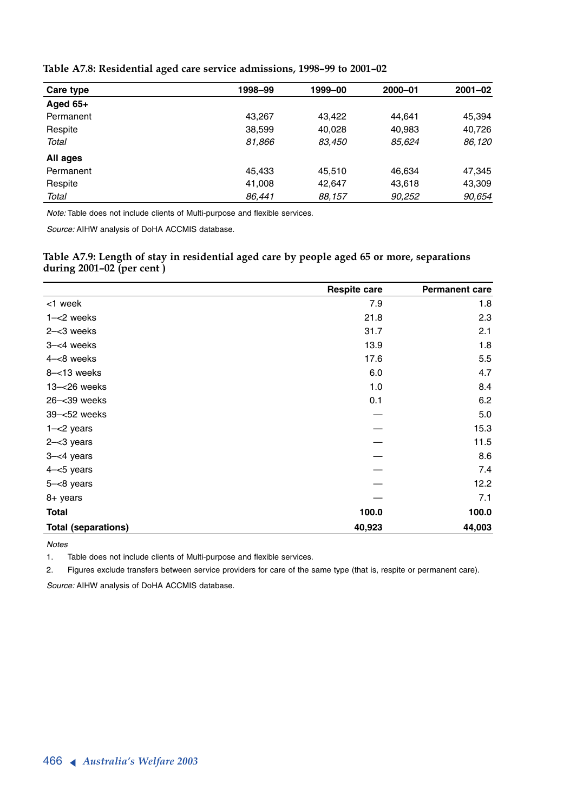| Table A7.8: Residential aged care service admissions, 1998-99 to 2001-02 |  |  |
|--------------------------------------------------------------------------|--|--|
|--------------------------------------------------------------------------|--|--|

| Care type  | 1998-99 | 1999-00 | 2000-01 | $2001 - 02$ |
|------------|---------|---------|---------|-------------|
| Aged $65+$ |         |         |         |             |
| Permanent  | 43.267  | 43.422  | 44.641  | 45,394      |
| Respite    | 38,599  | 40.028  | 40,983  | 40,726      |
| Total      | 81,866  | 83.450  | 85,624  | 86,120      |
| All ages   |         |         |         |             |
| Permanent  | 45,433  | 45.510  | 46,634  | 47,345      |
| Respite    | 41,008  | 42.647  | 43,618  | 43,309      |
| Total      | 86,441  | 88,157  | 90,252  | 90,654      |

*Note:* Table does not include clients of Multi-purpose and flexible services.

*Source:* AIHW analysis of DoHA ACCMIS database.

**Table A7.9: Length of stay in residential aged care by people aged 65 or more, separations during 2001–02 (per cent )**

|                            | <b>Respite care</b> | <b>Permanent care</b> |
|----------------------------|---------------------|-----------------------|
| <1 week                    | 7.9                 | 1.8                   |
| $1 - < 2$ weeks            | 21.8                | 2.3                   |
| $2 - < 3$ weeks            | 31.7                | 2.1                   |
| $3 - < 4$ weeks            | 13.9                | 1.8                   |
| 4-<8 weeks                 | 17.6                | 5.5                   |
| $8 - 13$ weeks             | 6.0                 | 4.7                   |
| 13-<26 weeks               | 1.0                 | 8.4                   |
| 26-<39 weeks               | 0.1                 | 6.2                   |
| 39-<52 weeks               |                     | 5.0                   |
| $1 - < 2$ years            |                     | 15.3                  |
| $2 - 3$ years              |                     | 11.5                  |
| $3 - < 4$ years            |                     | 8.6                   |
| $4 - 5$ years              |                     | 7.4                   |
| $5 - < 8$ years            |                     | 12.2                  |
| 8+ years                   |                     | 7.1                   |
| <b>Total</b>               | 100.0               | 100.0                 |
| <b>Total (separations)</b> | 40,923              | 44,003                |

*Notes*

1. Table does not include clients of Multi-purpose and flexible services.

2. Figures exclude transfers between service providers for care of the same type (that is, respite or permanent care).

*Source:* AIHW analysis of DoHA ACCMIS database.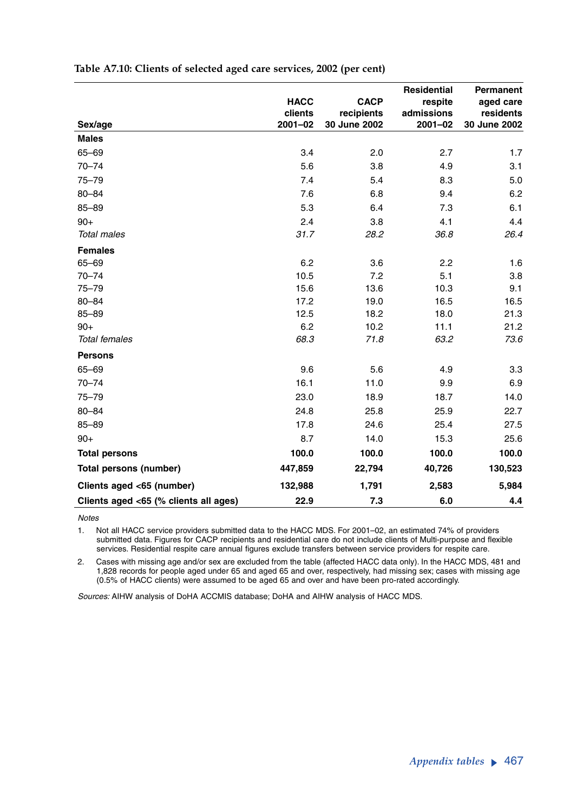|                                       |                        |                            | <b>Residential</b>    | Permanent              |
|---------------------------------------|------------------------|----------------------------|-----------------------|------------------------|
|                                       | <b>HACC</b><br>clients | <b>CACP</b>                | respite<br>admissions | aged care<br>residents |
| Sex/age                               | $2001 - 02$            | recipients<br>30 June 2002 | $2001 - 02$           | 30 June 2002           |
| <b>Males</b>                          |                        |                            |                       |                        |
| 65-69                                 | 3.4                    | 2.0                        | 2.7                   | 1.7                    |
| $70 - 74$                             | 5.6                    | 3.8                        | 4.9                   | 3.1                    |
| $75 - 79$                             | 7.4                    | 5.4                        | 8.3                   | 5.0                    |
| $80 - 84$                             | 7.6                    | 6.8                        | 9.4                   | 6.2                    |
| $85 - 89$                             | 5.3                    | 6.4                        | 7.3                   | 6.1                    |
| $90+$                                 | 2.4                    | 3.8                        | 4.1                   | 4.4                    |
| <b>Total males</b>                    | 31.7                   | 28.2                       | 36.8                  | 26.4                   |
| <b>Females</b>                        |                        |                            |                       |                        |
| $65 - 69$                             | 6.2                    | 3.6                        | 2.2                   | 1.6                    |
| $70 - 74$                             | 10.5                   | 7.2                        | 5.1                   | 3.8                    |
| $75 - 79$                             | 15.6                   | 13.6                       | 10.3                  | 9.1                    |
| $80 - 84$                             | 17.2                   | 19.0                       | 16.5                  | 16.5                   |
| $85 - 89$                             | 12.5                   | 18.2                       | 18.0                  | 21.3                   |
| $90+$                                 | 6.2                    | 10.2                       | 11.1                  | 21.2                   |
| <b>Total females</b>                  | 68.3                   | 71.8                       | 63.2                  | 73.6                   |
| <b>Persons</b>                        |                        |                            |                       |                        |
| 65-69                                 | 9.6                    | 5.6                        | 4.9                   | 3.3                    |
| $70 - 74$                             | 16.1                   | 11.0                       | 9.9                   | 6.9                    |
| $75 - 79$                             | 23.0                   | 18.9                       | 18.7                  | 14.0                   |
| $80 - 84$                             | 24.8                   | 25.8                       | 25.9                  | 22.7                   |
| $85 - 89$                             | 17.8                   | 24.6                       | 25.4                  | 27.5                   |
| $90+$                                 | 8.7                    | 14.0                       | 15.3                  | 25.6                   |
| <b>Total persons</b>                  | 100.0                  | 100.0                      | 100.0                 | 100.0                  |
| Total persons (number)                | 447,859                | 22,794                     | 40,726                | 130,523                |
| Clients aged <65 (number)             | 132,988                | 1,791                      | 2,583                 | 5,984                  |
| Clients aged <65 (% clients all ages) | 22.9                   | 7.3                        | 6.0                   | 4.4                    |

#### **Table A7.10: Clients of selected aged care services, 2002 (per cent)**

*Notes*

1. Not all HACC service providers submitted data to the HACC MDS. For 2001–02, an estimated 74% of providers submitted data. Figures for CACP recipients and residential care do not include clients of Multi-purpose and flexible services. Residential respite care annual figures exclude transfers between service providers for respite care.

2. Cases with missing age and/or sex are excluded from the table (affected HACC data only). In the HACC MDS, 481 and 1,828 records for people aged under 65 and aged 65 and over, respectively, had missing sex; cases with missing age (0.5% of HACC clients) were assumed to be aged 65 and over and have been pro-rated accordingly.

*Sources:* AIHW analysis of DoHA ACCMIS database; DoHA and AIHW analysis of HACC MDS.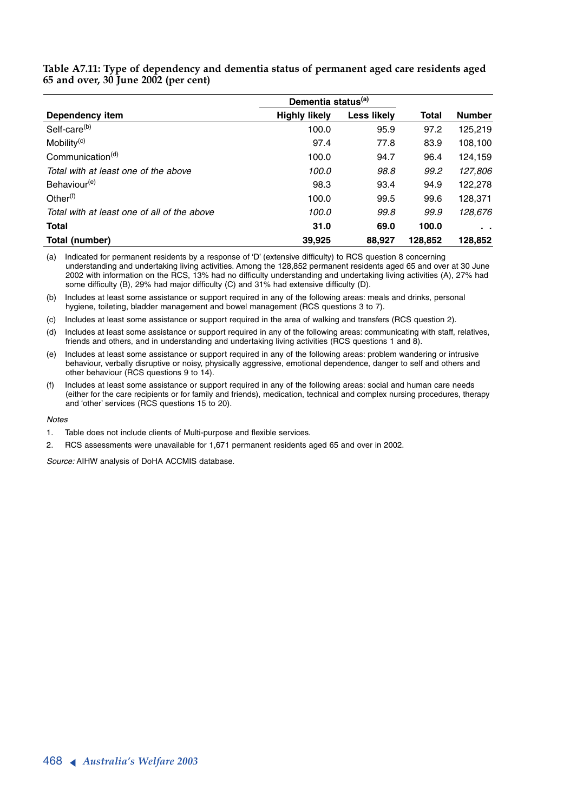|                                             | Dementia status <sup>(a)</sup> |             |              |               |
|---------------------------------------------|--------------------------------|-------------|--------------|---------------|
| Dependency item                             | <b>Highly likely</b>           | Less likely | <b>Total</b> | <b>Number</b> |
| Self-care <sup>(b)</sup>                    | 100.0                          | 95.9        | 97.2         | 125,219       |
| Mobility <sup>(c)</sup>                     | 97.4                           | 77.8        | 83.9         | 108,100       |
| Communication <sup>(d)</sup>                | 100.0                          | 94.7        | 96.4         | 124,159       |
| Total with at least one of the above        | 100.0                          | 98.8        | 99.2         | 127,806       |
| Behaviour <sup>(e)</sup>                    | 98.3                           | 93.4        | 94.9         | 122,278       |
| Other $(f)$                                 | 100.0                          | 99.5        | 99.6         | 128,371       |
| Total with at least one of all of the above | 100.0                          | 99.8        | 99.9         | 128,676       |
| <b>Total</b>                                | 31.0                           | 69.0        | 100.0        | . .           |
| Total (number)                              | 39.925                         | 88.927      | 128.852      | 128,852       |

**Table A7.11: Type of dependency and dementia status of permanent aged care residents aged 65 and over, 30 June 2002 (per cent)**

(a) Indicated for permanent residents by a response of 'D' (extensive difficulty) to RCS question 8 concerning understanding and undertaking living activities. Among the 128,852 permanent residents aged 65 and over at 30 June 2002 with information on the RCS, 13% had no difficulty understanding and undertaking living activities (A), 27% had some difficulty (B), 29% had major difficulty (C) and 31% had extensive difficulty (D).

(b) Includes at least some assistance or support required in any of the following areas: meals and drinks, personal hygiene, toileting, bladder management and bowel management (RCS questions 3 to 7).

(c) Includes at least some assistance or support required in the area of walking and transfers (RCS question 2).

(d) Includes at least some assistance or support required in any of the following areas: communicating with staff, relatives, friends and others, and in understanding and undertaking living activities (RCS questions 1 and 8).

(e) Includes at least some assistance or support required in any of the following areas: problem wandering or intrusive behaviour, verbally disruptive or noisy, physically aggressive, emotional dependence, danger to self and others and other behaviour (RCS questions 9 to 14).

Includes at least some assistance or support required in any of the following areas: social and human care needs (either for the care recipients or for family and friends), medication, technical and complex nursing procedures, therapy and 'other' services (RCS questions 15 to 20).

#### *Notes*

1. Table does not include clients of Multi-purpose and flexible services.

2. RCS assessments were unavailable for 1,671 permanent residents aged 65 and over in 2002.

*Source:* AIHW analysis of DoHA ACCMIS database.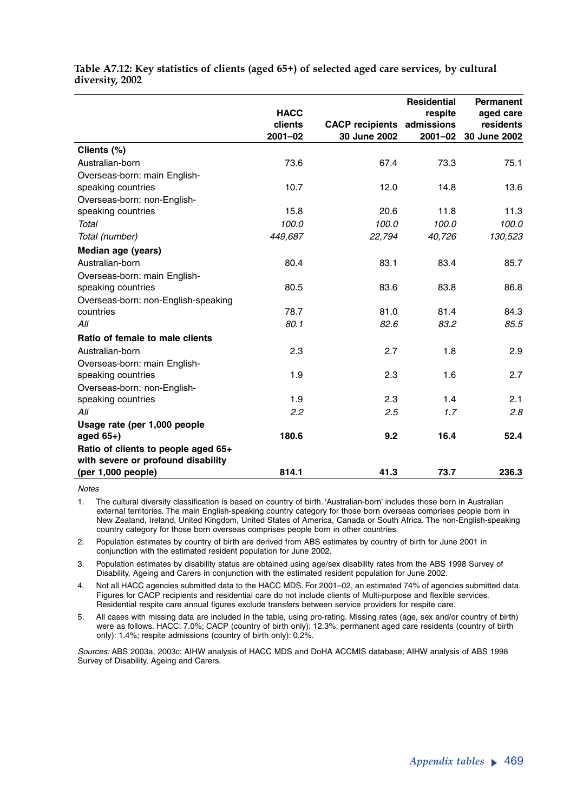|                                     |             |                        | <b>Residential</b> | <b>Permanent</b> |
|-------------------------------------|-------------|------------------------|--------------------|------------------|
|                                     | <b>HACC</b> |                        | respite            | aged care        |
|                                     | clients     | <b>CACP</b> recipients | admissions         | residents        |
|                                     | $2001 - 02$ | 30 June 2002           | $2001 - 02$        | 30 June 2002     |
| Clients (%)                         |             |                        |                    |                  |
| Australian-born                     | 73.6        | 67.4                   | 73.3               | 75.1             |
| Overseas-born: main English-        |             |                        |                    |                  |
| speaking countries                  | 10.7        | 12.0                   | 14.8               | 13.6             |
| Overseas-born: non-English-         |             |                        |                    |                  |
| speaking countries                  | 15.8        | 20.6                   | 11.8               | 11.3             |
| Total                               | 100.0       | 100.0                  | 100.0              | 100.0            |
| Total (number)                      | 449,687     | 22,794                 | 40,726             | 130,523          |
| Median age (years)                  |             |                        |                    |                  |
| Australian-born                     | 80.4        | 83.1                   | 83.4               | 85.7             |
| Overseas-born: main English-        |             |                        |                    |                  |
| speaking countries                  | 80.5        | 83.6                   | 83.8               | 86.8             |
| Overseas-born: non-English-speaking |             |                        |                    |                  |
| countries                           | 78.7        | 81.0                   | 81.4               | 84.3             |
| All                                 | 80.1        | 82.6                   | 83.2               | 85.5             |
| Ratio of female to male clients     |             |                        |                    |                  |
| Australian-born                     | 2.3         | 2.7                    | 1.8                | 2.9              |
| Overseas-born: main English-        |             |                        |                    |                  |
| speaking countries                  | 1.9         | 2.3                    | 1.6                | 2.7              |
| Overseas-born: non-English-         |             |                        |                    |                  |
| speaking countries                  | 1.9         | 2.3                    | 1.4                | 2.1              |
| All                                 | 2.2         | 2.5                    | 1.7                | 2.8              |
| Usage rate (per 1,000 people        |             |                        |                    |                  |
| aged $65+$ )                        | 180.6       | 9.2                    | 16.4               | 52.4             |
| Ratio of clients to people aged 65+ |             |                        |                    |                  |
| with severe or profound disability  |             |                        |                    |                  |
| (per 1,000 people)                  | 814.1       | 41.3                   | 73.7               | 236.3            |

**Table A7.12: Key statistics of clients (aged 65+) of selected aged care services, by cultural diversity, 2002**

*Notes*

1. The cultural diversity classification is based on country of birth. 'Australian-born' includes those born in Australian external territories. The main English-speaking country category for those born overseas comprises people born in New Zealand, Ireland, United Kingdom, United States of America, Canada or South Africa. The non-English-speaking country category for those born overseas comprises people born in other countries.

2. Population estimates by country of birth are derived from ABS estimates by country of birth for June 2001 in conjunction with the estimated resident population for June 2002.

3. Population estimates by disability status are obtained using age/sex disability rates from the ABS 1998 Survey of Disability, Ageing and Carers in conjunction with the estimated resident population for June 2002.

4. Not all HACC agencies submitted data to the HACC MDS. For 2001–02, an estimated 74% of agencies submitted data. Figures for CACP recipients and residential care do not include clients of Multi-purpose and flexible services. Residential respite care annual figures exclude transfers between service providers for respite care.

5. All cases with missing data are included in the table, using pro-rating. Missing rates (age, sex and/or country of birth) were as follows. HACC: 7.0%; CACP (country of birth only): 12.3%; permanent aged care residents (country of birth only): 1.4%; respite admissions (country of birth only): 0.2%.

*Sources:* ABS 2003a, 2003c; AIHW analysis of HACC MDS and DoHA ACCMIS database; AIHW analysis of ABS 1998 Survey of Disability, Ageing and Carers.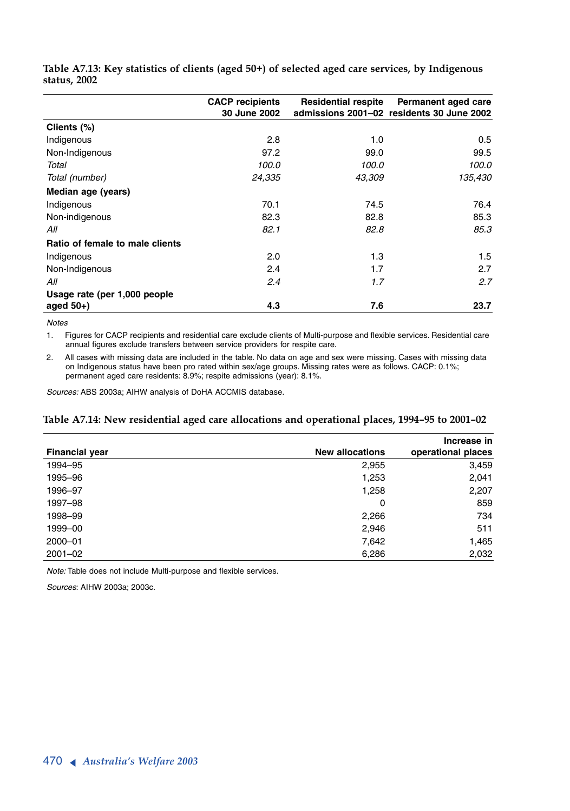|                                 | <b>CACP</b> recipients<br>30 June 2002 | <b>Residential respite</b> | Permanent aged care<br>admissions 2001-02 residents 30 June 2002 |
|---------------------------------|----------------------------------------|----------------------------|------------------------------------------------------------------|
| Clients (%)                     |                                        |                            |                                                                  |
| Indigenous                      | 2.8                                    | 1.0                        | 0.5                                                              |
| Non-Indigenous                  | 97.2                                   | 99.0                       | 99.5                                                             |
| Total                           | 100.0                                  | 100.0                      | 100.0                                                            |
| Total (number)                  | 24,335                                 | 43,309                     | 135,430                                                          |
| Median age (years)              |                                        |                            |                                                                  |
| Indigenous                      | 70.1                                   | 74.5                       | 76.4                                                             |
| Non-indigenous                  | 82.3                                   | 82.8                       | 85.3                                                             |
| All                             | 82.1                                   | 82.8                       | 85.3                                                             |
| Ratio of female to male clients |                                        |                            |                                                                  |
| Indigenous                      | 2.0                                    | 1.3                        | 1.5                                                              |
| Non-Indigenous                  | 2.4                                    | 1.7                        | 2.7                                                              |
| All                             | 2.4                                    | 1.7                        | 2.7                                                              |
| Usage rate (per 1,000 people    |                                        |                            |                                                                  |
| aged $50+$ )                    | 4.3                                    | 7.6                        | 23.7                                                             |

**Table A7.13: Key statistics of clients (aged 50+) of selected aged care services, by Indigenous status, 2002**

*Notes*

1. Figures for CACP recipients and residential care exclude clients of Multi-purpose and flexible services. Residential care annual figures exclude transfers between service providers for respite care.

2. All cases with missing data are included in the table. No data on age and sex were missing. Cases with missing data on Indigenous status have been pro rated within sex/age groups. Missing rates were as follows. CACP: 0.1%; permanent aged care residents: 8.9%; respite admissions (year): 8.1%.

*Sources:* ABS 2003a; AIHW analysis of DoHA ACCMIS database.

### **Table A7.14: New residential aged care allocations and operational places, 1994–95 to 2001–02**

|                       |                        | Increase in        |
|-----------------------|------------------------|--------------------|
| <b>Financial year</b> | <b>New allocations</b> | operational places |
| 1994-95               | 2,955                  | 3,459              |
| 1995-96               | 1,253                  | 2,041              |
| 1996-97               | 1,258                  | 2,207              |
| 1997-98               | 0                      | 859                |
| 1998-99               | 2,266                  | 734                |
| 1999-00               | 2,946                  | 511                |
| 2000-01               | 7,642                  | 1,465              |
| $2001 - 02$           | 6,286                  | 2,032              |

*Note:* Table does not include Multi-purpose and flexible services.

*Sources*: AIHW 2003a; 2003c.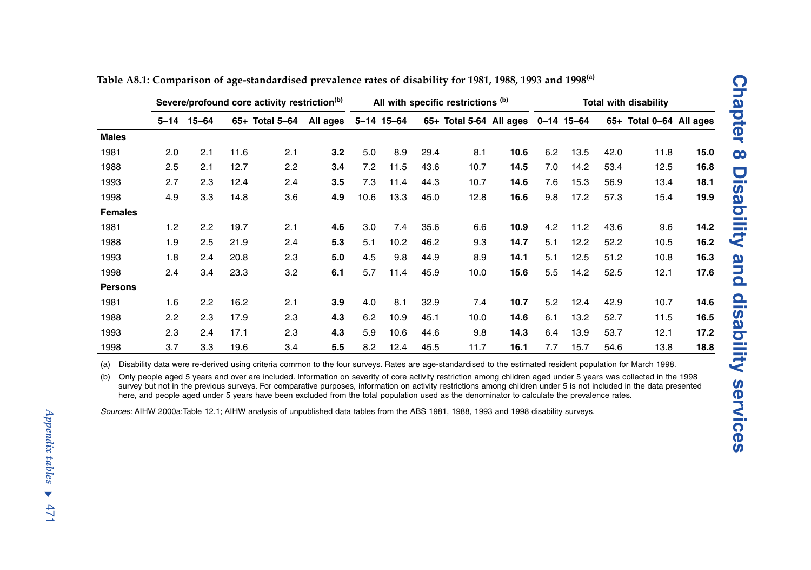| $5 - 14$ 15-64<br>65+ Total 5-64 All ages<br>65+ Total 5-64 All ages 0-14 15-64<br>65+ Total 0-64 All ages<br>5-14 15-64<br><b>Males</b><br>2.1<br>11.6<br>3.2<br>5.0<br>8.9<br>6.2<br>13.5<br>1981<br>2.0<br>2.1<br>29.4<br>8.1<br>10.6<br>42.0<br>11.8<br>1988<br>12.7<br>14.5<br>2.5<br>2.1<br>2.2<br>3.4<br>7.2<br>11.5<br>43.6<br>10.7<br>7.0<br>14.2<br>53.4<br>12.5<br>1993<br>2.3<br>11.4<br>15.3<br>2.7<br>12.4<br>2.4<br>3.5<br>7.3<br>44.3<br>10.7<br>14.6<br>7.6<br>56.9<br>13.4<br>1998<br>3.3<br>14.8<br>3.6<br>4.9<br>10.6<br>13.3<br>12.8<br>16.6<br>9.8<br>17.2<br>57.3<br>4.9<br>45.0<br>15.4<br><b>Females</b><br>1981<br>1.2<br>2.2<br>19.7<br>4.6<br>7.4<br>35.6<br>10.9<br>4.2<br>11.2<br>43.6<br>9.6<br>2.1<br>3.0<br>6.6<br>1988<br>1.9<br>2.5<br>21.9<br>5.3<br>10.2<br>46.2<br>9.3<br>14.7<br>5.1<br>12.2<br>52.2<br>2.4<br>5.1<br>10.5<br>1993<br>20.8<br>5.0<br>9.8<br>44.9<br>8.9<br>14.1<br>5.1<br>12.5<br>51.2<br>1.8<br>2.4<br>2.3<br>4.5<br>10.8<br>1998<br>2.4<br>3.4<br>23.3<br>3.2<br>6.1<br>5.7<br>11.4<br>10.0<br>15.6<br>14.2<br>52.5<br>45.9<br>5.5<br>12.1<br><b>Persons</b><br>1981<br>16.2<br>3.9<br>8.1<br>10.7<br>5.2<br>12.4<br>1.6<br>2.2<br>2.1<br>4.0<br>32.9<br>7.4<br>42.9<br>10.7<br>1988<br>17.9<br>4.3<br>13.2<br>2.2<br>2.3<br>2.3<br>6.2<br>10.9<br>45.1<br>10.0<br>14.6<br>6.1<br>52.7<br>11.5<br>4.3<br>1993<br>2.3<br>2.4<br>17.1<br>2.3<br>5.9<br>10.6<br>44.6<br>9.8<br>14.3<br>6.4<br>13.9<br>53.7<br>12.1<br>1998<br>5.5<br>3.7<br>3.3<br>19.6<br>3.4<br>8.2<br>12.4<br>45.5<br>11.7<br>16.1<br>15.7<br>54.6<br>13.8<br>7.7<br>Disability data were re-derived using criteria common to the four surveys. Rates are age-standardised to the estimated resident population for March 1998.<br>(a)<br>Only people aged 5 years and over are included. Information on severity of core activity restriction among children aged under 5 years was collected in the 1998<br>(b)<br>survey but not in the previous surveys. For comparative purposes, information on activity restrictions among children under 5 is not included in the data presented<br>here, and people aged under 5 years have been excluded from the total population used as the denominator to calculate the prevalence rates. | Severe/profound core activity restriction <sup>(b)</sup> |  |  |  |  | All with specific restrictions (b) |  |  |  |  | <b>Total with disability</b> |  |  |      |
|------------------------------------------------------------------------------------------------------------------------------------------------------------------------------------------------------------------------------------------------------------------------------------------------------------------------------------------------------------------------------------------------------------------------------------------------------------------------------------------------------------------------------------------------------------------------------------------------------------------------------------------------------------------------------------------------------------------------------------------------------------------------------------------------------------------------------------------------------------------------------------------------------------------------------------------------------------------------------------------------------------------------------------------------------------------------------------------------------------------------------------------------------------------------------------------------------------------------------------------------------------------------------------------------------------------------------------------------------------------------------------------------------------------------------------------------------------------------------------------------------------------------------------------------------------------------------------------------------------------------------------------------------------------------------------------------------------------------------------------------------------------------------------------------------------------------------------------------------------------------------------------------------------------------------------------------------------------------------------------------------------------------------------------------------------------------------------------------------------------------------------------------------------------------------------------------------------------------------------------------------------------|----------------------------------------------------------|--|--|--|--|------------------------------------|--|--|--|--|------------------------------|--|--|------|
|                                                                                                                                                                                                                                                                                                                                                                                                                                                                                                                                                                                                                                                                                                                                                                                                                                                                                                                                                                                                                                                                                                                                                                                                                                                                                                                                                                                                                                                                                                                                                                                                                                                                                                                                                                                                                                                                                                                                                                                                                                                                                                                                                                                                                                                                  |                                                          |  |  |  |  |                                    |  |  |  |  |                              |  |  |      |
|                                                                                                                                                                                                                                                                                                                                                                                                                                                                                                                                                                                                                                                                                                                                                                                                                                                                                                                                                                                                                                                                                                                                                                                                                                                                                                                                                                                                                                                                                                                                                                                                                                                                                                                                                                                                                                                                                                                                                                                                                                                                                                                                                                                                                                                                  |                                                          |  |  |  |  |                                    |  |  |  |  |                              |  |  |      |
|                                                                                                                                                                                                                                                                                                                                                                                                                                                                                                                                                                                                                                                                                                                                                                                                                                                                                                                                                                                                                                                                                                                                                                                                                                                                                                                                                                                                                                                                                                                                                                                                                                                                                                                                                                                                                                                                                                                                                                                                                                                                                                                                                                                                                                                                  |                                                          |  |  |  |  |                                    |  |  |  |  |                              |  |  | 15.0 |
|                                                                                                                                                                                                                                                                                                                                                                                                                                                                                                                                                                                                                                                                                                                                                                                                                                                                                                                                                                                                                                                                                                                                                                                                                                                                                                                                                                                                                                                                                                                                                                                                                                                                                                                                                                                                                                                                                                                                                                                                                                                                                                                                                                                                                                                                  |                                                          |  |  |  |  |                                    |  |  |  |  |                              |  |  | 16.8 |
|                                                                                                                                                                                                                                                                                                                                                                                                                                                                                                                                                                                                                                                                                                                                                                                                                                                                                                                                                                                                                                                                                                                                                                                                                                                                                                                                                                                                                                                                                                                                                                                                                                                                                                                                                                                                                                                                                                                                                                                                                                                                                                                                                                                                                                                                  |                                                          |  |  |  |  |                                    |  |  |  |  |                              |  |  | 18.1 |
|                                                                                                                                                                                                                                                                                                                                                                                                                                                                                                                                                                                                                                                                                                                                                                                                                                                                                                                                                                                                                                                                                                                                                                                                                                                                                                                                                                                                                                                                                                                                                                                                                                                                                                                                                                                                                                                                                                                                                                                                                                                                                                                                                                                                                                                                  |                                                          |  |  |  |  |                                    |  |  |  |  |                              |  |  | 19.9 |
|                                                                                                                                                                                                                                                                                                                                                                                                                                                                                                                                                                                                                                                                                                                                                                                                                                                                                                                                                                                                                                                                                                                                                                                                                                                                                                                                                                                                                                                                                                                                                                                                                                                                                                                                                                                                                                                                                                                                                                                                                                                                                                                                                                                                                                                                  |                                                          |  |  |  |  |                                    |  |  |  |  |                              |  |  |      |
|                                                                                                                                                                                                                                                                                                                                                                                                                                                                                                                                                                                                                                                                                                                                                                                                                                                                                                                                                                                                                                                                                                                                                                                                                                                                                                                                                                                                                                                                                                                                                                                                                                                                                                                                                                                                                                                                                                                                                                                                                                                                                                                                                                                                                                                                  |                                                          |  |  |  |  |                                    |  |  |  |  |                              |  |  | 14.2 |
|                                                                                                                                                                                                                                                                                                                                                                                                                                                                                                                                                                                                                                                                                                                                                                                                                                                                                                                                                                                                                                                                                                                                                                                                                                                                                                                                                                                                                                                                                                                                                                                                                                                                                                                                                                                                                                                                                                                                                                                                                                                                                                                                                                                                                                                                  |                                                          |  |  |  |  |                                    |  |  |  |  |                              |  |  | 16.2 |
|                                                                                                                                                                                                                                                                                                                                                                                                                                                                                                                                                                                                                                                                                                                                                                                                                                                                                                                                                                                                                                                                                                                                                                                                                                                                                                                                                                                                                                                                                                                                                                                                                                                                                                                                                                                                                                                                                                                                                                                                                                                                                                                                                                                                                                                                  |                                                          |  |  |  |  |                                    |  |  |  |  |                              |  |  | 16.3 |
|                                                                                                                                                                                                                                                                                                                                                                                                                                                                                                                                                                                                                                                                                                                                                                                                                                                                                                                                                                                                                                                                                                                                                                                                                                                                                                                                                                                                                                                                                                                                                                                                                                                                                                                                                                                                                                                                                                                                                                                                                                                                                                                                                                                                                                                                  |                                                          |  |  |  |  |                                    |  |  |  |  |                              |  |  | 17.6 |
|                                                                                                                                                                                                                                                                                                                                                                                                                                                                                                                                                                                                                                                                                                                                                                                                                                                                                                                                                                                                                                                                                                                                                                                                                                                                                                                                                                                                                                                                                                                                                                                                                                                                                                                                                                                                                                                                                                                                                                                                                                                                                                                                                                                                                                                                  |                                                          |  |  |  |  |                                    |  |  |  |  |                              |  |  |      |
|                                                                                                                                                                                                                                                                                                                                                                                                                                                                                                                                                                                                                                                                                                                                                                                                                                                                                                                                                                                                                                                                                                                                                                                                                                                                                                                                                                                                                                                                                                                                                                                                                                                                                                                                                                                                                                                                                                                                                                                                                                                                                                                                                                                                                                                                  |                                                          |  |  |  |  |                                    |  |  |  |  |                              |  |  | 14.6 |
|                                                                                                                                                                                                                                                                                                                                                                                                                                                                                                                                                                                                                                                                                                                                                                                                                                                                                                                                                                                                                                                                                                                                                                                                                                                                                                                                                                                                                                                                                                                                                                                                                                                                                                                                                                                                                                                                                                                                                                                                                                                                                                                                                                                                                                                                  |                                                          |  |  |  |  |                                    |  |  |  |  |                              |  |  | 16.5 |
|                                                                                                                                                                                                                                                                                                                                                                                                                                                                                                                                                                                                                                                                                                                                                                                                                                                                                                                                                                                                                                                                                                                                                                                                                                                                                                                                                                                                                                                                                                                                                                                                                                                                                                                                                                                                                                                                                                                                                                                                                                                                                                                                                                                                                                                                  |                                                          |  |  |  |  |                                    |  |  |  |  |                              |  |  | 17.2 |
|                                                                                                                                                                                                                                                                                                                                                                                                                                                                                                                                                                                                                                                                                                                                                                                                                                                                                                                                                                                                                                                                                                                                                                                                                                                                                                                                                                                                                                                                                                                                                                                                                                                                                                                                                                                                                                                                                                                                                                                                                                                                                                                                                                                                                                                                  |                                                          |  |  |  |  |                                    |  |  |  |  |                              |  |  | 18.8 |
|                                                                                                                                                                                                                                                                                                                                                                                                                                                                                                                                                                                                                                                                                                                                                                                                                                                                                                                                                                                                                                                                                                                                                                                                                                                                                                                                                                                                                                                                                                                                                                                                                                                                                                                                                                                                                                                                                                                                                                                                                                                                                                                                                                                                                                                                  |                                                          |  |  |  |  |                                    |  |  |  |  |                              |  |  |      |
|                                                                                                                                                                                                                                                                                                                                                                                                                                                                                                                                                                                                                                                                                                                                                                                                                                                                                                                                                                                                                                                                                                                                                                                                                                                                                                                                                                                                                                                                                                                                                                                                                                                                                                                                                                                                                                                                                                                                                                                                                                                                                                                                                                                                                                                                  |                                                          |  |  |  |  |                                    |  |  |  |  |                              |  |  |      |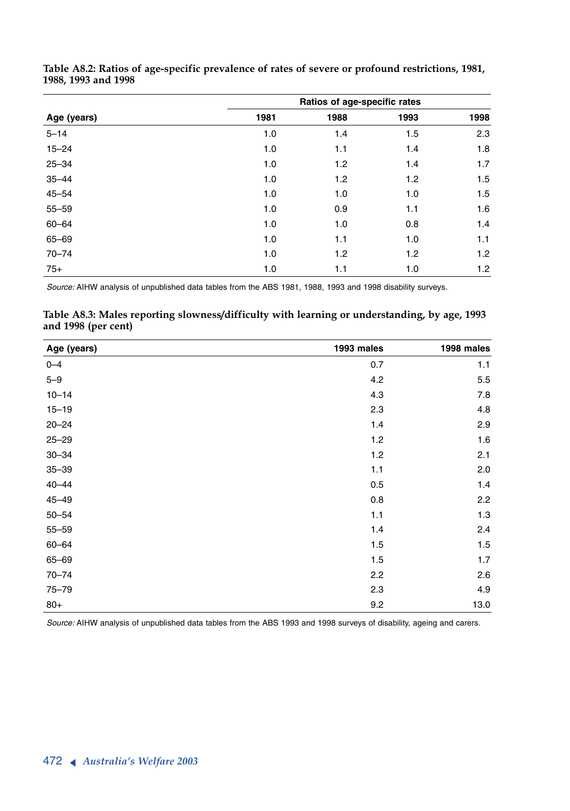|             | Ratios of age-specific rates |      |      |      |  |  |  |  |  |
|-------------|------------------------------|------|------|------|--|--|--|--|--|
| Age (years) | 1981                         | 1988 | 1993 | 1998 |  |  |  |  |  |
| $5 - 14$    | 1.0                          | 1.4  | 1.5  | 2.3  |  |  |  |  |  |
| $15 - 24$   | 1.0                          | 1.1  | 1.4  | 1.8  |  |  |  |  |  |
| $25 - 34$   | 1.0                          | 1.2  | 1.4  | 1.7  |  |  |  |  |  |
| $35 - 44$   | 1.0                          | 1.2  | 1.2  | 1.5  |  |  |  |  |  |
| $45 - 54$   | 1.0                          | 1.0  | 1.0  | 1.5  |  |  |  |  |  |
| $55 - 59$   | 1.0                          | 0.9  | 1.1  | 1.6  |  |  |  |  |  |
| $60 - 64$   | 1.0                          | 1.0  | 0.8  | 1.4  |  |  |  |  |  |
| $65 - 69$   | 1.0                          | 1.1  | 1.0  | 1.1  |  |  |  |  |  |
| $70 - 74$   | 1.0                          | 1.2  | 1.2  | 1.2  |  |  |  |  |  |
| $75+$       | 1.0                          | 1.1  | 1.0  | 1.2  |  |  |  |  |  |

**Table A8.2: Ratios of age-specific prevalence of rates of severe or profound restrictions, 1981, 1988, 1993 and 1998**

*Source:* AIHW analysis of unpublished data tables from the ABS 1981, 1988, 1993 and 1998 disability surveys.

**Table A8.3: Males reporting slowness/difficulty with learning or understanding, by age, 1993 and 1998 (per cent)**

| Age (years) | 1993 males | 1998 males |
|-------------|------------|------------|
| $0 - 4$     | 0.7        | 1.1        |
| $5 - 9$     | 4.2        | $5.5\,$    |
| $10 - 14$   | 4.3        | 7.8        |
| $15 - 19$   | 2.3        | 4.8        |
| $20 - 24$   | 1.4        | 2.9        |
| $25 - 29$   | 1.2        | 1.6        |
| $30 - 34$   | 1.2        | 2.1        |
| $35 - 39$   | 1.1        | 2.0        |
| $40 - 44$   | 0.5        | 1.4        |
| $45 - 49$   | 0.8        | 2.2        |
| $50 - 54$   | 1.1        | $1.3$      |
| $55 - 59$   | 1.4        | 2.4        |
| $60 - 64$   | 1.5        | 1.5        |
| 65-69       | 1.5        | 1.7        |
| $70 - 74$   | 2.2        | 2.6        |
| $75 - 79$   | 2.3        | 4.9        |
| $80+$       | 9.2        | 13.0       |

*Source:* AIHW analysis of unpublished data tables from the ABS 1993 and 1998 surveys of disability, ageing and carers.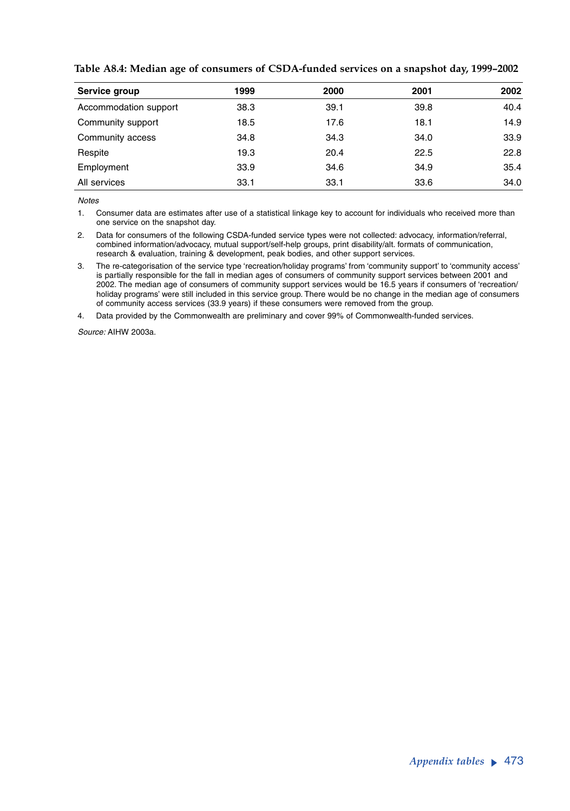| Service group         | 1999 | 2000 | 2001 | 2002 |
|-----------------------|------|------|------|------|
| Accommodation support | 38.3 | 39.1 | 39.8 | 40.4 |
| Community support     | 18.5 | 17.6 | 18.1 | 14.9 |
| Community access      | 34.8 | 34.3 | 34.0 | 33.9 |
| Respite               | 19.3 | 20.4 | 22.5 | 22.8 |
| Employment            | 33.9 | 34.6 | 34.9 | 35.4 |
| All services          | 33.1 | 33.1 | 33.6 | 34.0 |

**Table A8.4: Median age of consumers of CSDA-funded services on a snapshot day, 1999–2002**

*Notes*

1. Consumer data are estimates after use of a statistical linkage key to account for individuals who received more than one service on the snapshot day.

2. Data for consumers of the following CSDA-funded service types were not collected: advocacy, information/referral, combined information/advocacy, mutual support/self-help groups, print disability/alt. formats of communication, research & evaluation, training & development, peak bodies, and other support services.

3. The re-categorisation of the service type 'recreation/holiday programs' from 'community support' to 'community access' is partially responsible for the fall in median ages of consumers of community support services between 2001 and 2002. The median age of consumers of community support services would be 16.5 years if consumers of 'recreation/ holiday programs' were still included in this service group. There would be no change in the median age of consumers of community access services (33.9 years) if these consumers were removed from the group.

4. Data provided by the Commonwealth are preliminary and cover 99% of Commonwealth-funded services.

*Source:* AIHW 2003a.